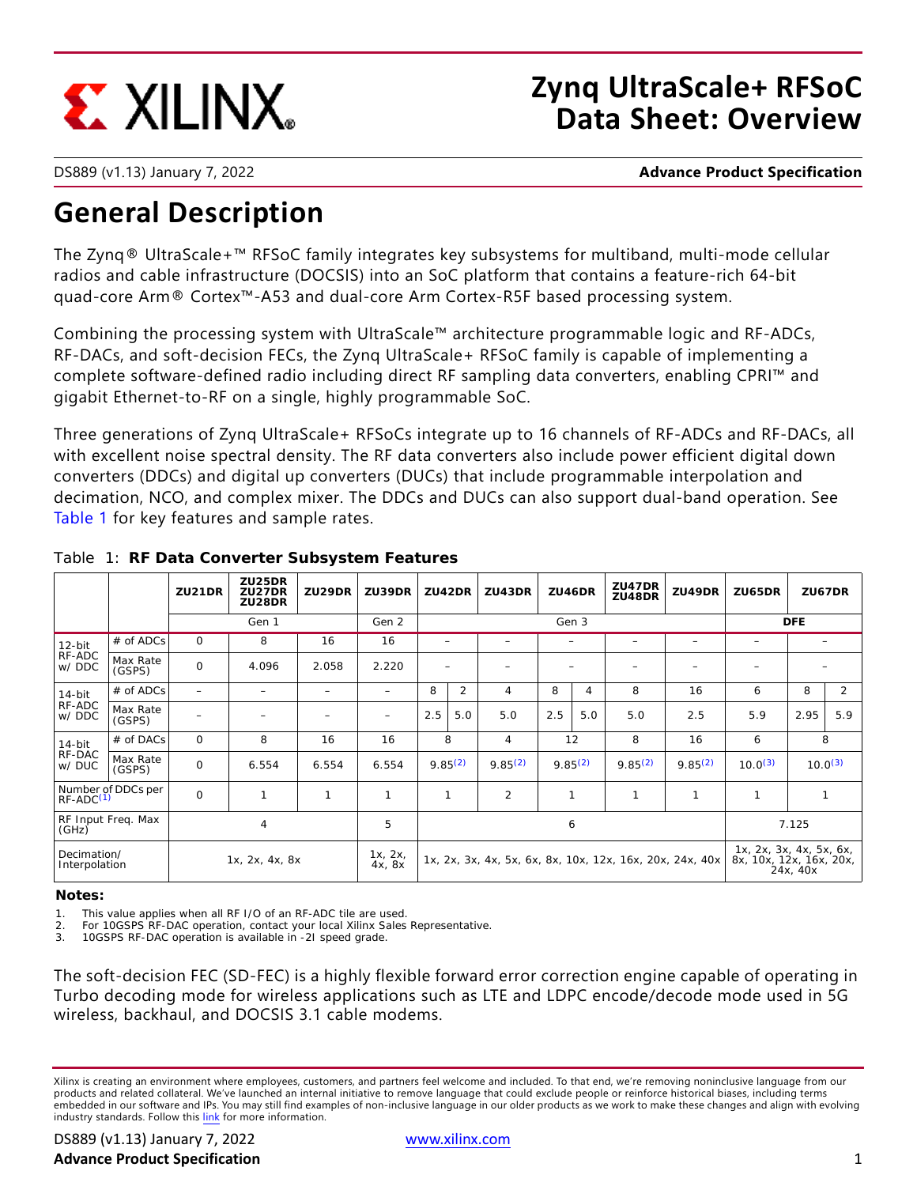

# **Zynq UltraScale+ RFSoC Data Sheet: Overview**

DS889 (v1.13) January 7, 2022 **Advance Product Specification Advance Product Specification** 

# <span id="page-0-4"></span>**General Description**

The Zynq® UltraScale+™ RFSoC family integrates key subsystems for multiband, multi-mode cellular radios and cable infrastructure (DOCSIS) into an SoC platform that contains a feature-rich 64-bit quad-core Arm® Cortex™-A53 and dual-core Arm Cortex-R5F based processing system.

Combining the processing system with UltraScale™ architecture programmable logic and RF-ADCs, RF-DACs, and soft-decision FECs, the Zynq UltraScale+ RFSoC family is capable of implementing a complete software-defined radio including direct RF sampling data converters, enabling CPRI™ and gigabit Ethernet-to-RF on a single, highly programmable SoC.

Three generations of Zynq UltraScale+ RFSoCs integrate up to 16 channels of RF-ADCs and RF-DACs, all with excellent noise spectral density. The RF data converters also include power efficient digital down converters (DDCs) and digital up converters (DUCs) that include programmable interpolation and decimation, NCO, and complex mixer. The DDCs and DUCs can also support dual-band operation. See [Table 1](#page-0-0) for key features and sample rates.

|                                                                                                                                      |                    | ZU21DR   | ZU25DR<br>ZU27DR<br>ZU28DR | ZU29DR       | ZU39DR                   |              | ZU42DR                                             | ZU43DR         |     | ZU46DR                   | ZU47DR<br>ZU48DR         | ZU49DR         | ZU65DR       | ZU67DR       |     |  |
|--------------------------------------------------------------------------------------------------------------------------------------|--------------------|----------|----------------------------|--------------|--------------------------|--------------|----------------------------------------------------|----------------|-----|--------------------------|--------------------------|----------------|--------------|--------------|-----|--|
|                                                                                                                                      |                    |          | Gen 1                      |              | Gen 2                    |              |                                                    |                |     | Gen 3                    |                          |                |              | <b>DFE</b>   |     |  |
| 12-bit                                                                                                                               | $#$ of ADCs        | $\circ$  | 8                          | 16           | 16                       |              | —                                                  |                |     | $\overline{\phantom{0}}$ | $\overline{\phantom{0}}$ |                |              |              |     |  |
| RF-ADC<br>w/DDC                                                                                                                      | Max Rate<br>(GSPS) | $\circ$  | 4.096                      | 2.058        | 2.220                    |              |                                                    |                |     |                          |                          |                |              |              |     |  |
| 14-bit                                                                                                                               | # of ADCs          | —        | $\overline{\phantom{0}}$   | -            | $\overline{\phantom{0}}$ | 8            | 2                                                  | 4              | 8   | 4                        | 8                        | 16             | 6            | 8            | 2   |  |
| RF-ADC<br>w/DDC                                                                                                                      | Max Rate<br>(GSPS) |          | $\overline{\phantom{0}}$   | -            |                          | 2.5          | 5.0                                                | 5.0            | 2.5 | 5.0                      | 5.0                      | 2.5            | 5.9          | 2.95         | 5.9 |  |
| 14-bit<br>RF-DAC                                                                                                                     | # of DACs          | $\Omega$ | 8                          | 16           | 16                       |              | 8                                                  | $\overline{4}$ |     | 12                       | 8                        | 16             | 6            | 8            |     |  |
| w/DUC                                                                                                                                | Max Rate<br>(GSPS) | $\circ$  | 6.554                      | 6.554        | 6.554                    | $9.85^{(2)}$ |                                                    | $9.85^{(2)}$   |     | $9.85^{(2)}$             | $9.85^{(2)}$             | $9.85^{(2)}$   | $10.0^{(3)}$ | $10.0^{(3)}$ |     |  |
| $RF-ADC(1)$                                                                                                                          | Number of DDCs per | $\Omega$ |                            | $\mathbf{1}$ |                          |              | $\overline{2}$                                     | $\mathbf{1}$   |     |                          | $\mathbf{1}$             | $\overline{1}$ |              |              |     |  |
| (GHz)                                                                                                                                | RF Input Freq. Max |          | $\overline{4}$             |              | 5                        |              |                                                    | 6              |     |                          |                          | 7.125          |              |              |     |  |
| 1x, 2x,<br>Decimation/<br>1x, 2x, 3x, 4x, 5x, 6x, 8x, 10x, 12x, 16x, 20x, 24x, 40x<br>1x, 2x, 4x, 8x<br>$4x$ , $8x$<br>Interpolation |                    |          |                            |              |                          |              | 1x, 2x, 3x, 4x, 5x, 6x,<br>8x, 10x, 12x, 16x, 20x, | 24x, 40x       |     |                          |                          |                |              |              |     |  |

#### <span id="page-0-0"></span>*Table 1:* **RF Data Converter Subsystem Features**

#### **Notes:**

<span id="page-0-3"></span>3. 10GSPS RF-DAC operation is available in -2I speed grade.

The soft-decision FEC (SD-FEC) is a highly flexible forward error correction engine capable of operating in Turbo decoding mode for wireless applications such as LTE and LDPC encode/decode mode used in 5G wireless, backhaul, and DOCSIS 3.1 cable modems.

Xilinx is creating an environment where employees, customers, and partners feel welcome and included. To that end, we're removing noninclusive language from our products and related collateral. We've launched an internal initiative to remove language that could exclude people or reinforce historical biases, including terms embedded in our software and IPs. You may still find examples of non-inclusive language in our older products as we work to make these changes and align with evolving industry standards. Follow this [link](https://www.xilinx.com/content/dam/xilinx/publications/about/Inclusive-terminology.pdf) for more information.

<span id="page-0-1"></span><sup>1.</sup> This value applies when all RF I/O of an RF-ADC tile are used.

<span id="page-0-2"></span><sup>2.</sup> For 10GSPS RF-DAC operation, contact your local Xilinx Sales Representative.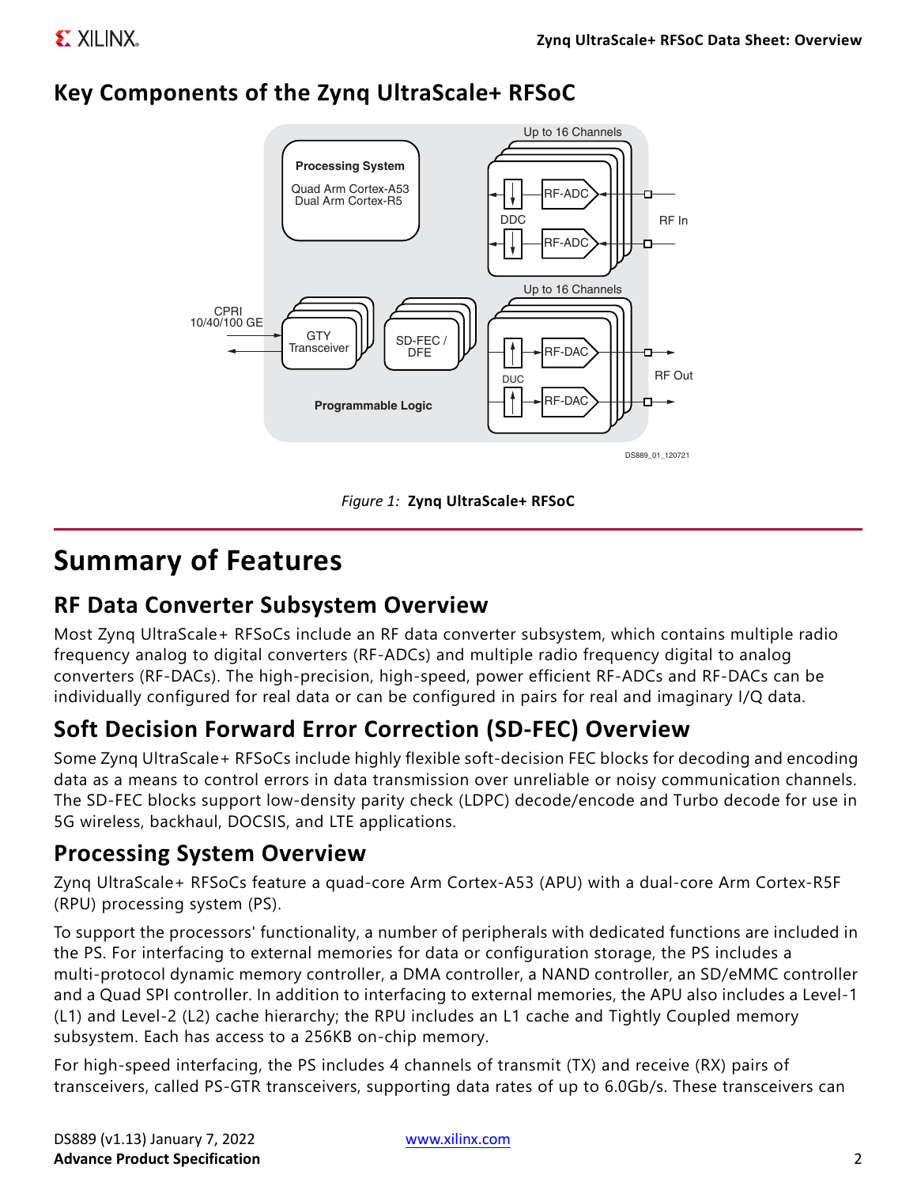## <span id="page-1-2"></span>**Key Components of the Zynq UltraScale+ RFSoC**



*Figure 1:* **Zynq UltraScale+ RFSoC**

# **Summary of Features**

## <span id="page-1-0"></span>**RF Data Converter Subsystem Overview**

Most Zynq UltraScale+ RFSoCs include an RF data converter subsystem, which contains multiple radio frequency analog to digital converters (RF-ADCs) and multiple radio frequency digital to analog converters (RF-DACs). The high-precision, high-speed, power efficient RF-ADCs and RF-DACs can be individually configured for real data or can be configured in pairs for real and imaginary I/Q data.

## **Soft Decision Forward Error Correction (SD-FEC) Overview**

Some Zynq UltraScale+ RFSoCs include highly flexible soft-decision FEC blocks for decoding and encoding data as a means to control errors in data transmission over unreliable or noisy communication channels. The SD-FEC blocks support low-density parity check (LDPC) decode/encode and Turbo decode for use in 5G wireless, backhaul, DOCSIS, and LTE applications.

## <span id="page-1-1"></span>**Processing System Overview**

Zynq UltraScale+ RFSoCs feature a quad-core Arm Cortex-A53 (APU) with a dual-core Arm Cortex-R5F (RPU) processing system (PS).

To support the processors' functionality, a number of peripherals with dedicated functions are included in the PS. For interfacing to external memories for data or configuration storage, the PS includes a multi-protocol dynamic memory controller, a DMA controller, a NAND controller, an SD/eMMC controller and a Quad SPI controller. In addition to interfacing to external memories, the APU also includes a Level-1 (L1) and Level-2 (L2) cache hierarchy; the RPU includes an L1 cache and Tightly Coupled memory subsystem. Each has access to a 256KB on-chip memory.

For high-speed interfacing, the PS includes 4 channels of transmit (TX) and receive (RX) pairs of transceivers, called PS-GTR transceivers, supporting data rates of up to 6.0Gb/s. These transceivers can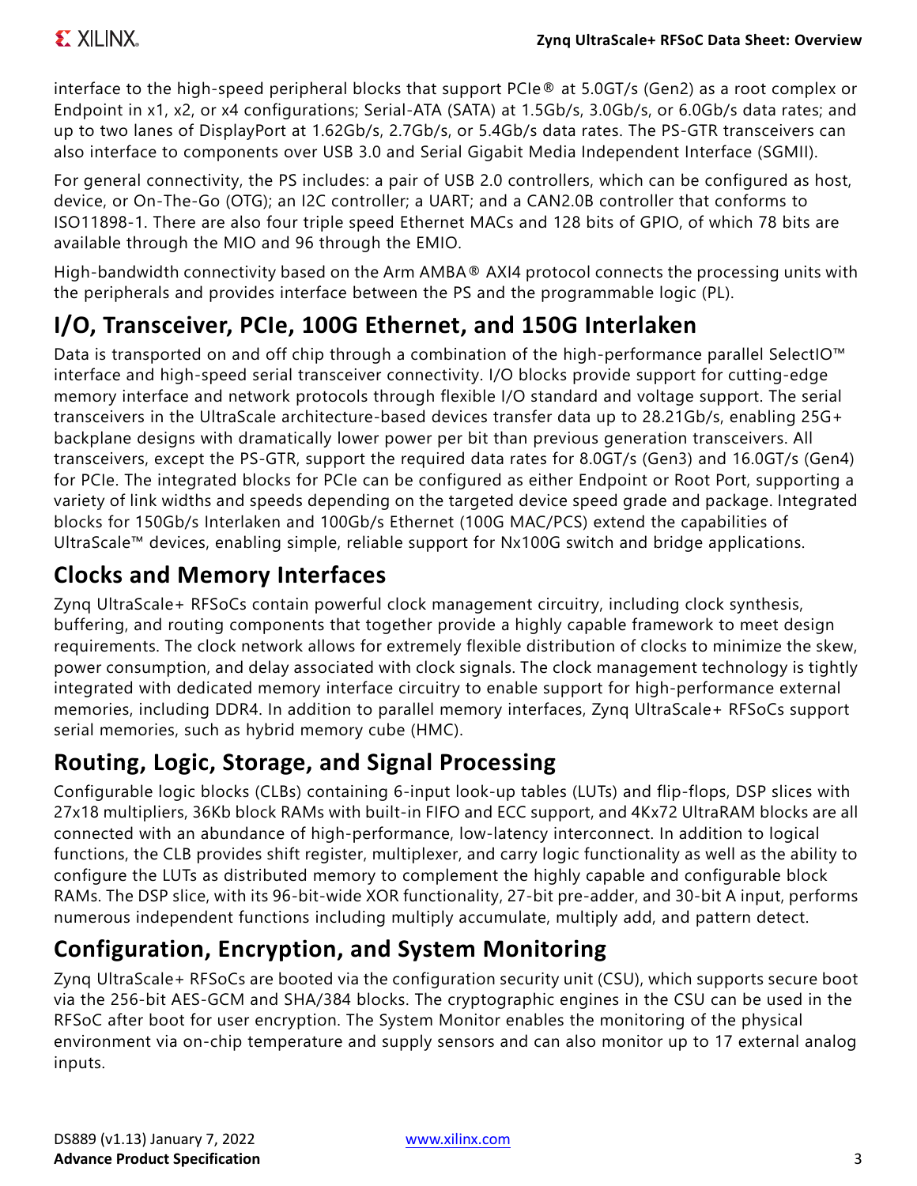interface to the high-speed peripheral blocks that support PCIe  $\otimes$  at 5.0GT/s (Gen2) as a root complex or Endpoint in x1, x2, or x4 configurations; Serial-ATA (SATA) at 1.5Gb/s, 3.0Gb/s, or 6.0Gb/s data rates; and up to two lanes of DisplayPort at 1.62Gb/s, 2.7Gb/s, or 5.4Gb/s data rates. The PS-GTR transceivers can also interface to components over USB 3.0 and Serial Gigabit Media Independent Interface (SGMII).

For general connectivity, the PS includes: a pair of USB 2.0 controllers, which can be configured as host, device, or On-The-Go (OTG); an I2C controller; a UART; and a CAN2.0B controller that conforms to ISO11898-1. There are also four triple speed Ethernet MACs and 128 bits of GPIO, of which 78 bits are available through the MIO and 96 through the EMIO.

High-bandwidth connectivity based on the Arm AMBA® AXI4 protocol connects the processing units with the peripherals and provides interface between the PS and the programmable logic (PL).

## <span id="page-2-0"></span>**I/O, Transceiver, PCIe, 100G Ethernet, and 150G Interlaken**

Data is transported on and off chip through a combination of the high-performance parallel SelectIO<sup>™</sup> interface and high-speed serial transceiver connectivity. I/O blocks provide support for cutting-edge memory interface and network protocols through flexible I/O standard and voltage support. The serial transceivers in the UltraScale architecture-based devices transfer data up to 28.21Gb/s, enabling 25G+ backplane designs with dramatically lower power per bit than previous generation transceivers. All transceivers, except the PS-GTR, support the required data rates for 8.0GT/s (Gen3) and 16.0GT/s (Gen4) for PCIe. The integrated blocks for PCIe can be configured as either Endpoint or Root Port, supporting a variety of link widths and speeds depending on the targeted device speed grade and package. Integrated blocks for 150Gb/s Interlaken and 100Gb/s Ethernet (100G MAC/PCS) extend the capabilities of UltraScale™ devices, enabling simple, reliable support for Nx100G switch and bridge applications.

## **Clocks and Memory Interfaces**

Zynq UltraScale+ RFSoCs contain powerful clock management circuitry, including clock synthesis, buffering, and routing components that together provide a highly capable framework to meet design requirements. The clock network allows for extremely flexible distribution of clocks to minimize the skew, power consumption, and delay associated with clock signals. The clock management technology is tightly integrated with dedicated memory interface circuitry to enable support for high-performance external memories, including DDR4. In addition to parallel memory interfaces, Zynq UltraScale+ RFSoCs support serial memories, such as hybrid memory cube (HMC).

## **Routing, Logic, Storage, and Signal Processing**

Configurable logic blocks (CLBs) containing 6-input look-up tables (LUTs) and flip-flops, DSP slices with 27x18 multipliers, 36Kb block RAMs with built-in FIFO and ECC support, and 4Kx72 UltraRAM blocks are all connected with an abundance of high-performance, low-latency interconnect. In addition to logical functions, the CLB provides shift register, multiplexer, and carry logic functionality as well as the ability to configure the LUTs as distributed memory to complement the highly capable and configurable block RAMs. The DSP slice, with its 96-bit-wide XOR functionality, 27-bit pre-adder, and 30-bit A input, performs numerous independent functions including multiply accumulate, multiply add, and pattern detect.

## **Configuration, Encryption, and System Monitoring**

Zynq UltraScale+ RFSoCs are booted via the configuration security unit (CSU), which supports secure boot via the 256-bit AES-GCM and SHA/384 blocks. The cryptographic engines in the CSU can be used in the RFSoC after boot for user encryption. The System Monitor enables the monitoring of the physical environment via on-chip temperature and supply sensors and can also monitor up to 17 external analog inputs.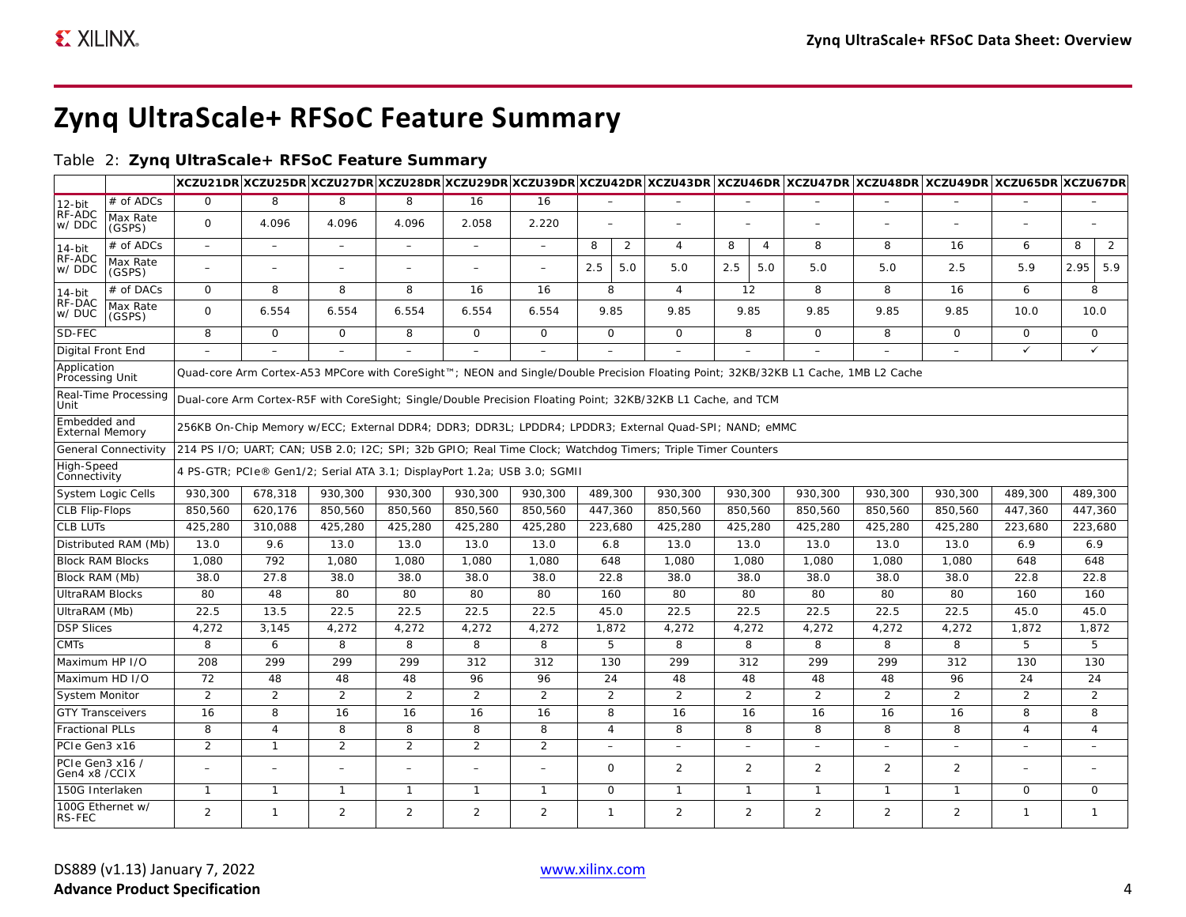# **Zynq UltraScale+ RFSoC Feature Summary**

#### *Table 2:* **Zynq UltraScale+ RFSoC Feature Summary**

<span id="page-3-0"></span>

|                                        |                             |                |                          |                          |                          |                          |                                                                          |                          |                                                                                                              |                          | XCZU21DR XCZU25DR XCZU27DR XCZU28DR XCZU29DR XCZU39DR XCZU42DR XCZU43DR XCZU46DR XCZU47DR XCZU48DR XCZU49DR XCZU65DR XCZU67DR      |                          |                          |                          |                          |     |
|----------------------------------------|-----------------------------|----------------|--------------------------|--------------------------|--------------------------|--------------------------|--------------------------------------------------------------------------|--------------------------|--------------------------------------------------------------------------------------------------------------|--------------------------|------------------------------------------------------------------------------------------------------------------------------------|--------------------------|--------------------------|--------------------------|--------------------------|-----|
| $12$ -bit                              | # of ADCs                   | $\Omega$       | 8                        | $\overline{8}$           | 8                        | 16                       | $\overline{16}$                                                          |                          |                                                                                                              |                          |                                                                                                                                    |                          |                          |                          |                          |     |
| RF-ADC<br>w/DDC                        | Max Rate<br>(GSPS)          | $\Omega$       | 4.096                    | 4.096                    | 4.096                    | 2.058                    | 2.220                                                                    | $\overline{\phantom{a}}$ | $\overline{\phantom{0}}$                                                                                     | $\overline{\phantom{0}}$ | $\overline{\phantom{0}}$                                                                                                           | $\overline{\phantom{0}}$ | $\overline{\phantom{0}}$ | $\overline{\phantom{0}}$ | $\overline{\phantom{0}}$ |     |
| $14$ -bit                              | # of ADCs                   | $-$            | $\overline{a}$           | $\overline{\phantom{a}}$ |                          | $\overline{\phantom{m}}$ | $\overline{\phantom{a}}$                                                 | 8<br>$\overline{2}$      | $\overline{4}$                                                                                               | 8<br>$\overline{4}$      | 8                                                                                                                                  | 8                        | 16                       | 6                        | 8                        | 2   |
| RF-ADC<br>w/DDC                        | Max Rate<br>(GSPS)          |                | $\overline{\phantom{0}}$ | $\overline{\phantom{0}}$ | $\overline{\phantom{0}}$ | $\overline{\phantom{0}}$ | $\overline{\phantom{a}}$                                                 | 2.5<br>5.0               | 5.0                                                                                                          | 2.5<br>5.0               | 5.0                                                                                                                                | 5.0                      | 2.5                      | 5.9                      | 2.95                     | 5.9 |
| 14-bit                                 | # of DACs                   | $\Omega$       | 8                        | 8                        | 8                        | 16                       | 16                                                                       | 8                        | $\overline{4}$                                                                                               | 12                       | 8                                                                                                                                  | 8                        | 16                       | 6                        | 8                        |     |
| RF-DAC<br>w/DUC                        | Max Rate<br>(GSPS)          | $\Omega$       | 6.554                    | 6.554                    | 6.554                    | 6.554                    | 6.554                                                                    | 9.85                     | 9.85                                                                                                         | 9.85                     | 9.85                                                                                                                               | 9.85                     | 9.85                     | 10.0                     | 10.0                     |     |
| SD-FEC                                 |                             | 8              | $\mathbf 0$              | $\mathsf{O}$             | 8                        | $\mathbf 0$              | O                                                                        | $\mathbf 0$              | $\mathbf 0$                                                                                                  | 8                        | $\mathsf{O}$                                                                                                                       | 8                        | $\mathbf 0$              | $\mathsf{O}$             | 0                        |     |
| Digital Front End                      |                             | $\equiv$       | $\overline{a}$           | $\overline{\phantom{m}}$ | $\equiv$                 | $\overline{\phantom{a}}$ | $\overline{\phantom{0}}$                                                 | $\overline{\phantom{a}}$ |                                                                                                              | $\overline{\phantom{0}}$ | $\overline{a}$                                                                                                                     |                          | $\overline{a}$           | $\checkmark$             | $\checkmark$             |     |
| Application<br>Processing Unit         |                             |                |                          |                          |                          |                          |                                                                          |                          |                                                                                                              |                          | Quad-core Arm Cortex-A53 MPCore with CoreSight™; NEON and Single/Double Precision Floating Point; 32KB/32KB L1 Cache, 1MB L2 Cache |                          |                          |                          |                          |     |
| Unit                                   | Real-Time Processing        |                |                          |                          |                          |                          |                                                                          |                          | Dual-core Arm Cortex-R5F with CoreSight; Single/Double Precision Floating Point; 32KB/32KB L1 Cache, and TCM |                          |                                                                                                                                    |                          |                          |                          |                          |     |
| Embedded and<br><b>External Memory</b> |                             |                |                          |                          |                          |                          |                                                                          |                          | 256KB On-Chip Memory w/ECC; External DDR4; DDR3; DDR3L; LPDDR4; LPDDR3; External Quad-SPI; NAND; eMMC        |                          |                                                                                                                                    |                          |                          |                          |                          |     |
|                                        | <b>General Connectivity</b> |                |                          |                          |                          |                          |                                                                          |                          | 214 PS I/O; UART; CAN; USB 2.0; I2C; SPI; 32b GPIO; Real Time Clock; Watchdog Timers; Triple Timer Counters  |                          |                                                                                                                                    |                          |                          |                          |                          |     |
| High-Speed<br>Connectivity             |                             |                |                          |                          |                          |                          | 4 PS-GTR; PCIe® Gen1/2; Serial ATA 3.1; DisplayPort 1.2a; USB 3.0; SGMII |                          |                                                                                                              |                          |                                                                                                                                    |                          |                          |                          |                          |     |
|                                        | System Logic Cells          | 930,300        | 678,318                  | 930,300                  | 930,300                  | 930,300                  | 930,300                                                                  | 489,300                  | 930,300                                                                                                      | 930,300                  | 930,300                                                                                                                            | 930,300                  | 930,300                  | 489,300                  | 489,300                  |     |
| CLB Flip-Flops                         |                             | 850,560        | 620,176                  | 850,560                  | 850,560                  | 850,560                  | 850,560                                                                  | 447,360                  | 850,560                                                                                                      | 850,560                  | 850,560                                                                                                                            | 850,560                  | 850,560                  | 447,360                  | 447,360                  |     |
| <b>CLB LUTS</b>                        |                             | 425,280        | 310,088                  | 425,280                  | 425,280                  | 425,280                  | 425,280                                                                  | 223,680                  | 425,280                                                                                                      | 425,280                  | 425,280                                                                                                                            | 425,280                  | 425,280                  | 223,680                  | 223,680                  |     |
|                                        | Distributed RAM (Mb)        | 13.0           | 9.6                      | 13.0                     | 13.0                     | 13.0                     | 13.0                                                                     | 6.8                      | 13.0                                                                                                         | 13.0                     | 13.0                                                                                                                               | 13.0                     | 13.0                     | 6.9                      | 6.9                      |     |
| <b>Block RAM Blocks</b>                |                             | 1,080          | 792                      | 1,080                    | 1,080                    | 1,080                    | 1,080                                                                    | 648                      | 1,080                                                                                                        | 1,080                    | 1,080                                                                                                                              | 1,080                    | 1,080                    | 648                      | 648                      |     |
| Block RAM (Mb)                         |                             | 38.0           | 27.8                     | 38.0                     | 38.0                     | 38.0                     | 38.0                                                                     | 22.8                     | 38.0                                                                                                         | 38.0                     | 38.0                                                                                                                               | 38.0                     | 38.0                     | 22.8                     | 22.8                     |     |
| <b>UltraRAM Blocks</b>                 |                             | 80             | 48                       | 80                       | 80                       | 80                       | 80                                                                       | 160                      | 80                                                                                                           | 80                       | 80                                                                                                                                 | 80                       | 80                       | 160                      | 160                      |     |
| UltraRAM (Mb)                          |                             | 22.5           | 13.5                     | 22.5                     | 22.5                     | 22.5                     | 22.5                                                                     | 45.0                     | 22.5                                                                                                         | 22.5                     | 22.5                                                                                                                               | 22.5                     | 22.5                     | 45.0                     | 45.0                     |     |
| <b>DSP Slices</b>                      |                             | 4,272          | 3,145                    | 4,272                    | 4,272                    | 4,272                    | 4,272                                                                    | 1,872                    | 4,272                                                                                                        | 4,272                    | 4,272                                                                                                                              | 4,272                    | 4,272                    | 1,872                    | 1,872                    |     |
| <b>CMTs</b>                            |                             | 8              | 6                        | 8                        | 8                        | 8                        | 8                                                                        | 5                        | 8                                                                                                            | 8                        | 8                                                                                                                                  | 8                        | 8                        | 5                        | 5                        |     |
| Maximum HP I/O                         |                             | 208            | 299                      | 299                      | 299                      | 312                      | 312                                                                      | 130                      | 299                                                                                                          | 312                      | 299                                                                                                                                | 299                      | 312                      | 130                      | 130                      |     |
| Maximum HD I/O                         |                             | 72             | 48                       | 48                       | 48                       | 96                       | 96                                                                       | 24                       | 48                                                                                                           | 48                       | 48                                                                                                                                 | 48                       | 96                       | 24                       | 24                       |     |
| <b>System Monitor</b>                  |                             | $\overline{2}$ | $\overline{2}$           | 2                        | $\overline{2}$           | $\overline{2}$           | $\overline{2}$                                                           | 2                        | 2                                                                                                            | $\overline{2}$           | 2                                                                                                                                  | $\overline{2}$           | $\overline{2}$           | $\overline{2}$           | $\overline{2}$           |     |
| <b>GTY Transceivers</b>                |                             | 16             | 8                        | 16                       | 16                       | 16                       | 16                                                                       | 8                        | 16                                                                                                           | 16                       | 16                                                                                                                                 | 16                       | 16                       | 8                        | 8                        |     |
| <b>Fractional PLLs</b>                 |                             | 8              | $\overline{4}$           | 8                        | 8                        | 8                        | 8                                                                        | $\overline{4}$           | 8                                                                                                            | 8                        | 8                                                                                                                                  | 8                        | 8                        | $\overline{4}$           | $\overline{4}$           |     |
| PCIe Gen3 x16                          |                             | $\overline{2}$ | $\mathbf{1}$             | 2                        | $\overline{2}$           | 2                        | $\overline{a}$                                                           | $\overline{\phantom{a}}$ | $\overline{\phantom{m}}$                                                                                     | $\overline{\phantom{m}}$ | $\overline{\phantom{0}}$                                                                                                           | $\overline{\phantom{0}}$ | $\overline{\phantom{0}}$ | $\overline{\phantom{m}}$ | $\overline{\phantom{0}}$ |     |
| PCIe Gen3 x16 /<br>Gen4 x8 / CCIX      |                             |                | $\overline{\phantom{0}}$ | $\overline{\phantom{m}}$ |                          | $\overline{\phantom{0}}$ | $\overline{\phantom{0}}$                                                 | $\circ$                  | $\overline{2}$                                                                                               | $\overline{2}$           | $\overline{a}$                                                                                                                     | 2                        | $\overline{2}$           | $\overline{\phantom{a}}$ |                          |     |
| 150G Interlaken                        |                             | $\mathbf{1}$   | $\mathbf{1}$             | $\mathbf{1}$             | $\mathbf{1}$             | $\mathbf{1}$             | $\mathbf{1}$                                                             | $\mathbf 0$              | $\mathbf{1}$                                                                                                 | $\mathbf{1}$             | $\mathbf{1}$                                                                                                                       | $\mathbf{1}$             | $\mathbf{1}$             | $\mathbf 0$              | $\mathsf{O}$             |     |
| 100G Ethernet w/<br>RS-FEC             |                             | $\overline{2}$ | $\mathbf{1}$             | $\overline{2}$           | $\overline{2}$           | 2                        | $\overline{2}$                                                           | $\mathbf{1}$             | 2                                                                                                            | $\overline{2}$           | 2                                                                                                                                  | $\overline{2}$           | $\overline{2}$           | $\mathbf{1}$             | $\mathbf{1}$             |     |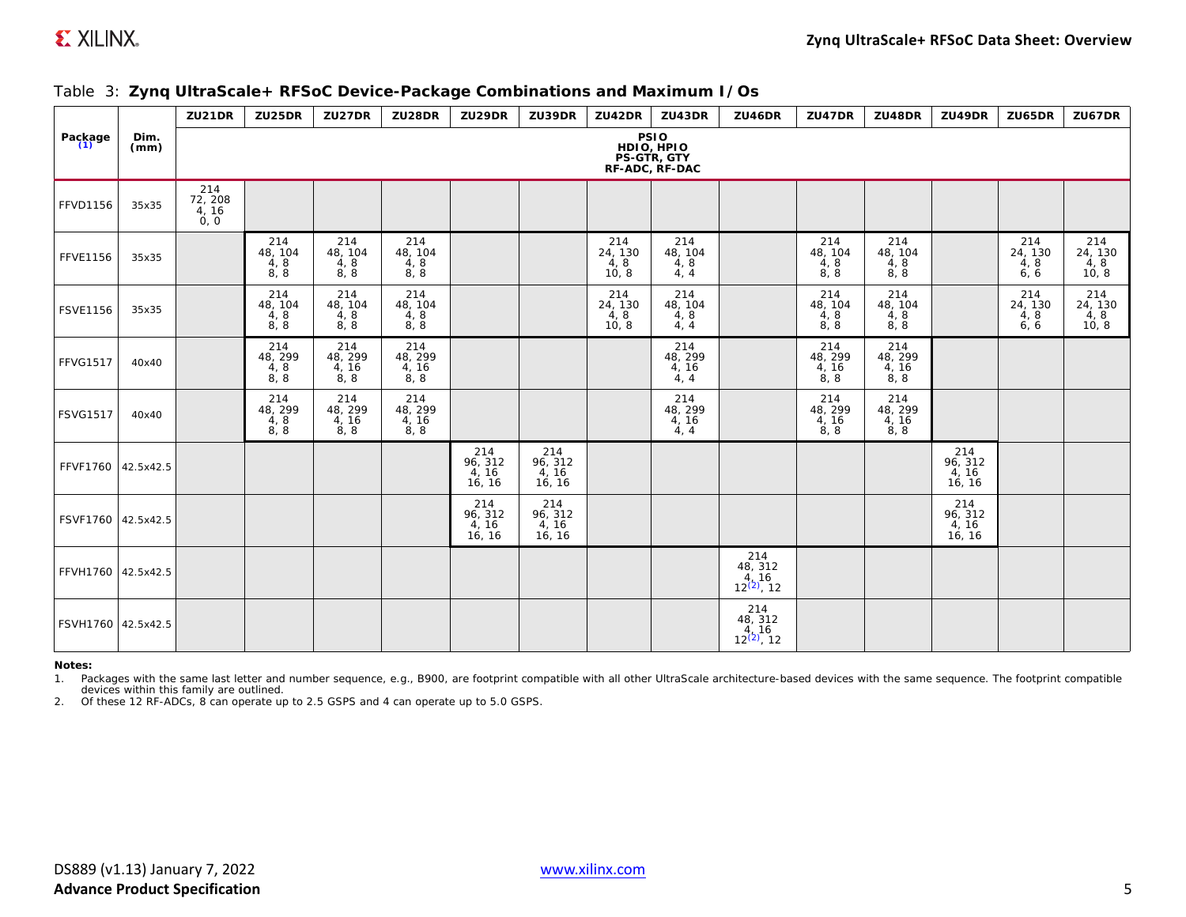|                    |              | ZU21DR                                                        | ZU25DR                                                        | ZU27DR                               | ZU28DR                                                         | ZU29DR                                | ZU39DR                                | ZU42DR                              | ZU43DR                                                         | ZU46DR                                            | ZU47DR                                  | ZU48DR                                       | <b>ZU49DR</b>                         | ZU65DR                                                           | ZU67DR                              |
|--------------------|--------------|---------------------------------------------------------------|---------------------------------------------------------------|--------------------------------------|----------------------------------------------------------------|---------------------------------------|---------------------------------------|-------------------------------------|----------------------------------------------------------------|---------------------------------------------------|-----------------------------------------|----------------------------------------------|---------------------------------------|------------------------------------------------------------------|-------------------------------------|
| Package            | Dim.<br>(mm) |                                                               |                                                               |                                      |                                                                |                                       |                                       |                                     | PSIO<br>HDIO, HPIO<br>PS-GTR, GTY<br>RF-ADC, RF-DAC            |                                                   |                                         |                                              |                                       |                                                                  |                                     |
| <b>FFVD1156</b>    | 35x35        | 214<br>72, 208<br>$\begin{matrix} 4, 16 \\ 0, 0 \end{matrix}$ |                                                               |                                      |                                                                |                                       |                                       |                                     |                                                                |                                                   |                                         |                                              |                                       |                                                                  |                                     |
| <b>FFVE1156</b>    | 35x35        |                                                               | 214<br>48, 104<br>4,8<br>8,8                                  | 214<br>48, 104<br>4, 8<br>8, 8       | $214$<br>48, 104<br>4, 8<br>8,8                                |                                       |                                       | $214$<br>$24, 130$<br>4, 8<br>10, 8 | $^{214}_{48, 104}$<br>$\frac{4}{4}$ , 8<br>4, 4                |                                                   | 214<br>48, 104<br>4, 8<br>8, 8          | 214<br>48, 104<br>$\overline{4}$ , 8<br>8, 8 |                                       | $214$<br>$24, 130$<br>$\begin{matrix} 4, 8 \\ 6, 6 \end{matrix}$ | $214$<br>$24, 130$<br>4, 8<br>10, 8 |
| <b>FSVE1156</b>    | 35x35        |                                                               | 214<br>$\begin{array}{c} 48, 104 \\ 4, 8 \end{array}$<br>8,8  | 214<br>48, 104<br>4, 8<br>8, 8       | 214<br>48, 104<br>4, 8<br>8,8                                  |                                       |                                       | 214<br>$24, 130$<br>4, 8<br>10, 8   | 214<br>$48, 104$<br>$4, 8$<br>4, 4                             |                                                   | 214<br>48, 104<br>4,8<br>8,8            | 214<br>48, 104<br>4, 8<br>8, 8               |                                       | 214<br>$24, 130$<br>$4, 8$<br>6, 6                               | 214<br>24, 130<br>4, 8<br>10, 8     |
| <b>FFVG1517</b>    | 40x40        |                                                               | 214<br>48, 299<br>$\frac{4}{8}$ , 8                           | 214<br>48, 299<br>$\frac{4}{8}$ , 16 | 214<br>48, 299<br>$\frac{4}{8}$ , 16                           |                                       |                                       |                                     | 214<br>48, 299<br>$\frac{4}{4}$ , 16                           |                                                   | 214<br>48, 299<br>$\frac{4}{8}$ , 16    | 214<br>48, 299<br>$\frac{4}{8}$ , 16         |                                       |                                                                  |                                     |
| <b>FSVG1517</b>    | 40x40        |                                                               | $\begin{array}{c} 214 \\ 48, 299 \\ 4, 8 \\ 8, 8 \end{array}$ | 214<br>48, 299<br>$\frac{4}{8}$ , 16 | 214<br>48, 299<br>$\begin{array}{c} 4, 16 \\ 8, 8 \end{array}$ |                                       |                                       |                                     | $\begin{array}{c} 214 \\ 48, 299 \\ 4, 16 \\ 4, 4 \end{array}$ |                                                   | $214$<br>$48, 299$<br>$4, 16$<br>$8, 8$ | 214<br>48, 299<br>$\frac{4}{8}$ , 16         |                                       |                                                                  |                                     |
| FFVF1760 42.5x42.5 |              |                                                               |                                                               |                                      |                                                                | 214<br>96, 312<br>$4, 16$<br>$16, 16$ | 214<br>96, 312<br>4, 16<br>16, 16     |                                     |                                                                |                                                   |                                         |                                              | 214<br>96, 312<br>4, 16<br>16, 16     |                                                                  |                                     |
| FSVF1760 42.5x42.5 |              |                                                               |                                                               |                                      |                                                                | 214<br>96, 312<br>$4, 16$<br>$16, 16$ | 214<br>96, 312<br>$\frac{4}{16}$ , 16 |                                     |                                                                |                                                   |                                         |                                              | 214<br>96, 312<br>$4, 16$<br>$16, 16$ |                                                                  |                                     |
| FFVH1760 42.5x42.5 |              |                                                               |                                                               |                                      |                                                                |                                       |                                       |                                     |                                                                | 214<br>48, 312<br>4, 16<br>12 <sup>(2)</sup> , 12 |                                         |                                              |                                       |                                                                  |                                     |
| FSVH1760 42.5x42.5 |              |                                                               |                                                               |                                      |                                                                |                                       |                                       |                                     |                                                                | 214<br>48, 312<br>4, 16<br>12 <sup>(2)</sup> , 12 |                                         |                                              |                                       |                                                                  |                                     |

#### *Table 3:* **Zynq UltraScale+ RFSoC Device-Package Combinations and Maximum I/Os**

#### **Notes:**

<span id="page-4-0"></span>1. Packages with the same last letter and number sequence, e.g., B900, are footprint compatible with all other UltraScale architecture-based devices with the same sequence. The footprint compatible

<span id="page-4-2"></span><span id="page-4-1"></span>devices within this family are outlined. 2. Of these 12 RF-ADCs, 8 can operate up to 2.5 GSPS and 4 can operate up to 5.0 GSPS.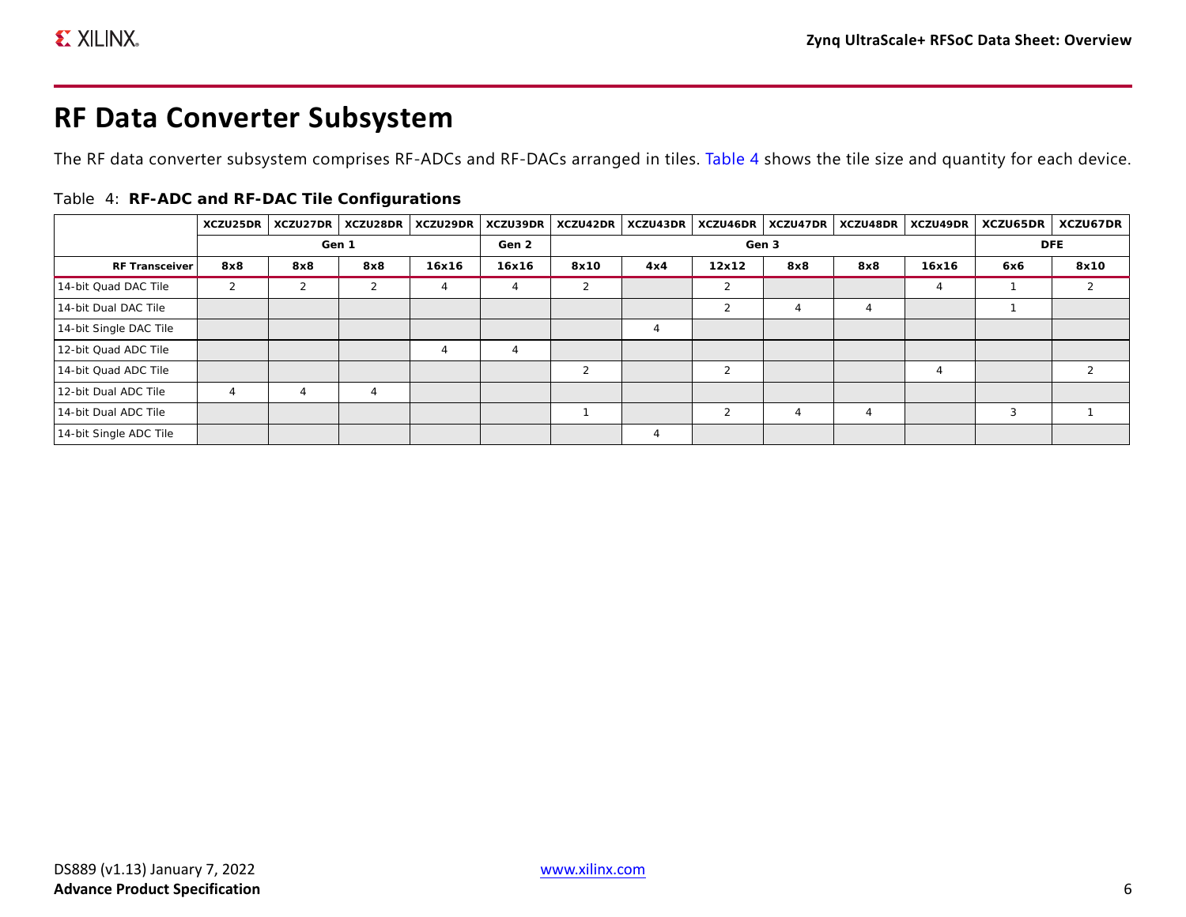# **RF Data Converter Subsystem**

The RF data converter subsystem comprises RF-ADCs and RF-DACs arranged in tiles. [Table](#page-5-0) 4 shows the tile size and quantity for each device.

<span id="page-5-0"></span>

<span id="page-5-1"></span>

|                        | XCZU25DR | XCZU27DR   XCZU28DR |                | XCZU29DR | XCZU39DR       | XCZU42DR      | XCZU43DR | XCZU46DR       | <b>XCZU47DR</b> | XCZU48DR       | XCZU49DR | XCZU65DR | XCZU67DR       |
|------------------------|----------|---------------------|----------------|----------|----------------|---------------|----------|----------------|-----------------|----------------|----------|----------|----------------|
|                        |          | Gen 1               |                |          | Gen 2          |               |          | Gen 3          |                 |                |          |          | <b>DFE</b>     |
| <b>RF Transceiver</b>  | 8x8      | 8x8                 | 8x8            | 16x16    | 16x16          | 8x10          | 4x4      | 12x12          | 8x8             | 8x8            | 16x16    | 6x6      | 8x10           |
| 14-bit Quad DAC Tile   | 2        | $\overline{2}$      | $\overline{2}$ | 4        | $\overline{4}$ | 2             |          | $\overline{2}$ |                 |                |          |          | $\overline{2}$ |
| 14-bit Dual DAC Tile   |          |                     |                |          |                |               |          | $\mathfrak{p}$ | $\overline{4}$  | $\overline{4}$ |          |          |                |
| 14-bit Single DAC Tile |          |                     |                |          |                |               |          |                |                 |                |          |          |                |
| 12-bit Quad ADC Tile   |          |                     |                | 4        | 4              |               |          |                |                 |                |          |          |                |
| 14-bit Quad ADC Tile   |          |                     |                |          |                | $\mathcal{D}$ |          | $\overline{2}$ |                 |                |          |          | 2              |
| 12-bit Dual ADC Tile   | 4        |                     | 4              |          |                |               |          |                |                 |                |          |          |                |
| 14-bit Dual ADC Tile   |          |                     |                |          |                |               |          | $\mathcal{D}$  | 4               | $\overline{4}$ |          | 3        |                |
| 14-bit Single ADC Tile |          |                     |                |          |                |               | 4        |                |                 |                |          |          |                |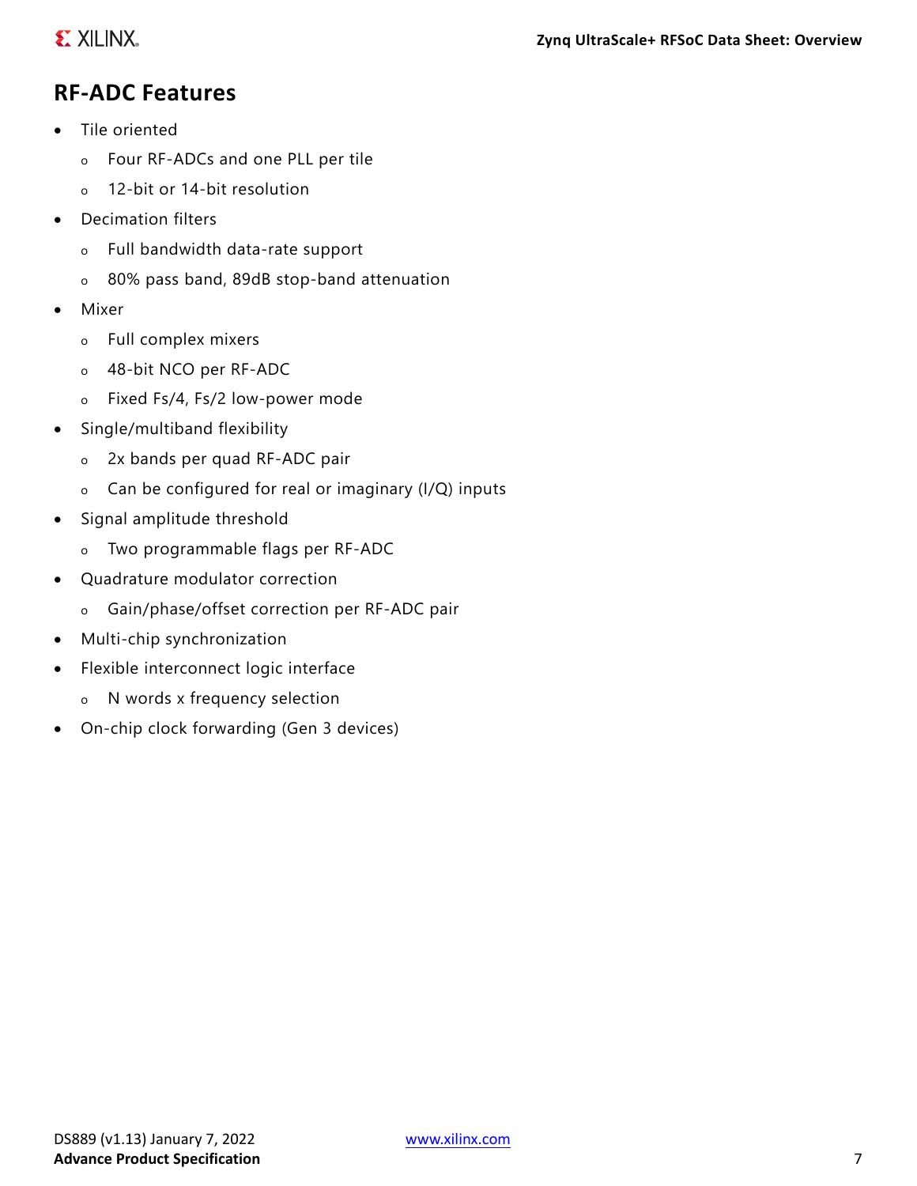### <span id="page-6-0"></span>**RF-ADC Features**

- Tile oriented
	- o Four RF-ADCs and one PLL per tile
	- o 12-bit or 14-bit resolution
- Decimation filters
	- o Full bandwidth data-rate support
	- o 80% pass band, 89dB stop-band attenuation
- Mixer
	- o Full complex mixers
	- o 48-bit NCO per RF-ADC
	- o Fixed Fs/4, Fs/2 low-power mode
- Single/multiband flexibility
	- o 2x bands per quad RF-ADC pair
	- o Can be configured for real or imaginary (I/Q) inputs
- Signal amplitude threshold
	- o Two programmable flags per RF-ADC
- Ouadrature modulator correction
	- o Gain/phase/offset correction per RF-ADC pair
- Multi-chip synchronization
- Flexible interconnect logic interface
	- o N words x frequency selection
- On-chip clock forwarding (Gen 3 devices)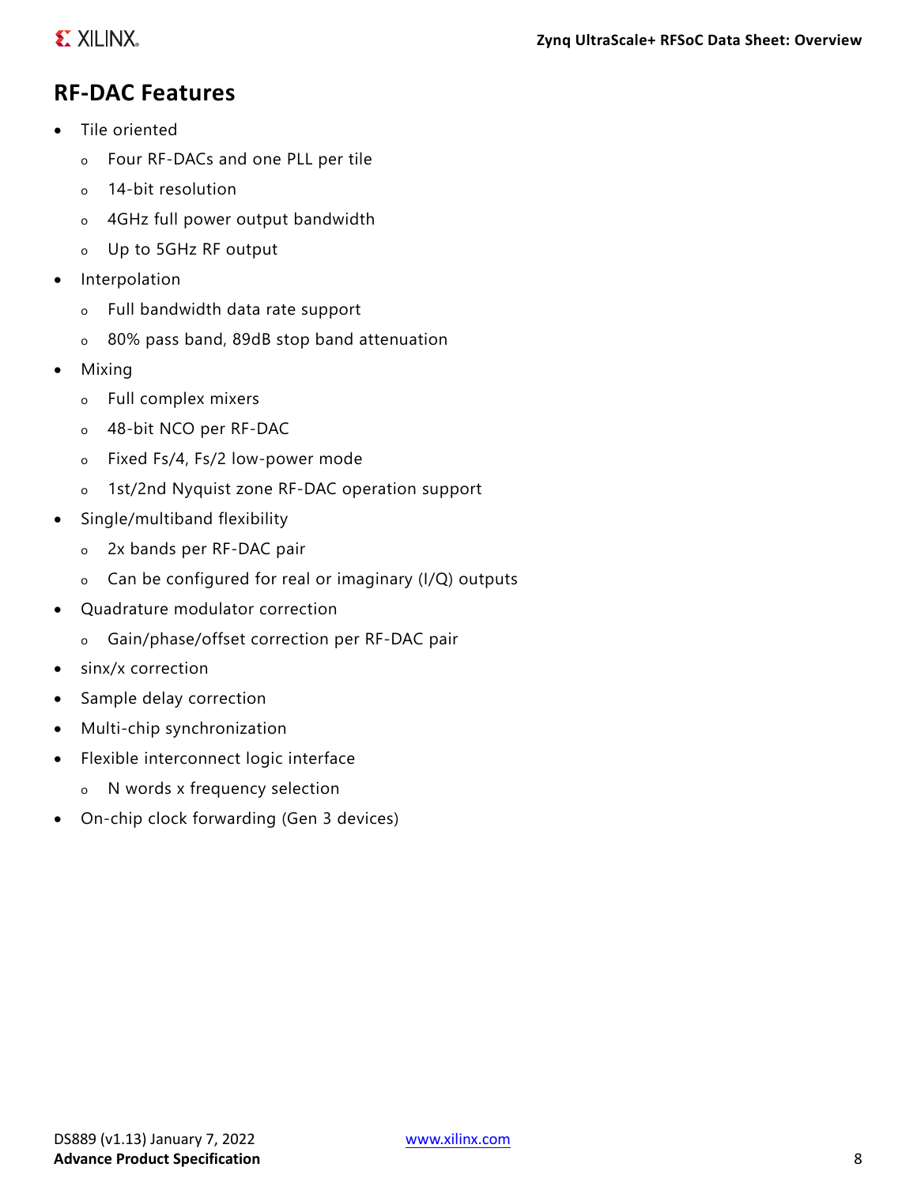### <span id="page-7-0"></span>**RF-DAC Features**

- Tile oriented
	- o Four RF-DACs and one PLL per tile
	- o 14-bit resolution
	- o 4GHz full power output bandwidth
	- o Up to 5GHz RF output
- Interpolation
	- o Full bandwidth data rate support
	- o 80% pass band, 89dB stop band attenuation
- Mixing
	- o Full complex mixers
	- o 48-bit NCO per RF-DAC
	- o Fixed Fs/4, Fs/2 low-power mode
	- o 1st/2nd Nyquist zone RF-DAC operation support
- Single/multiband flexibility
	- o 2x bands per RF-DAC pair
	- o Can be configured for real or imaginary (I/Q) outputs
- Quadrature modulator correction
	- o Gain/phase/offset correction per RF-DAC pair
- sinx/x correction
- Sample delay correction
- Multi-chip synchronization
- Flexible interconnect logic interface
	- o N words x frequency selection
- On-chip clock forwarding (Gen 3 devices)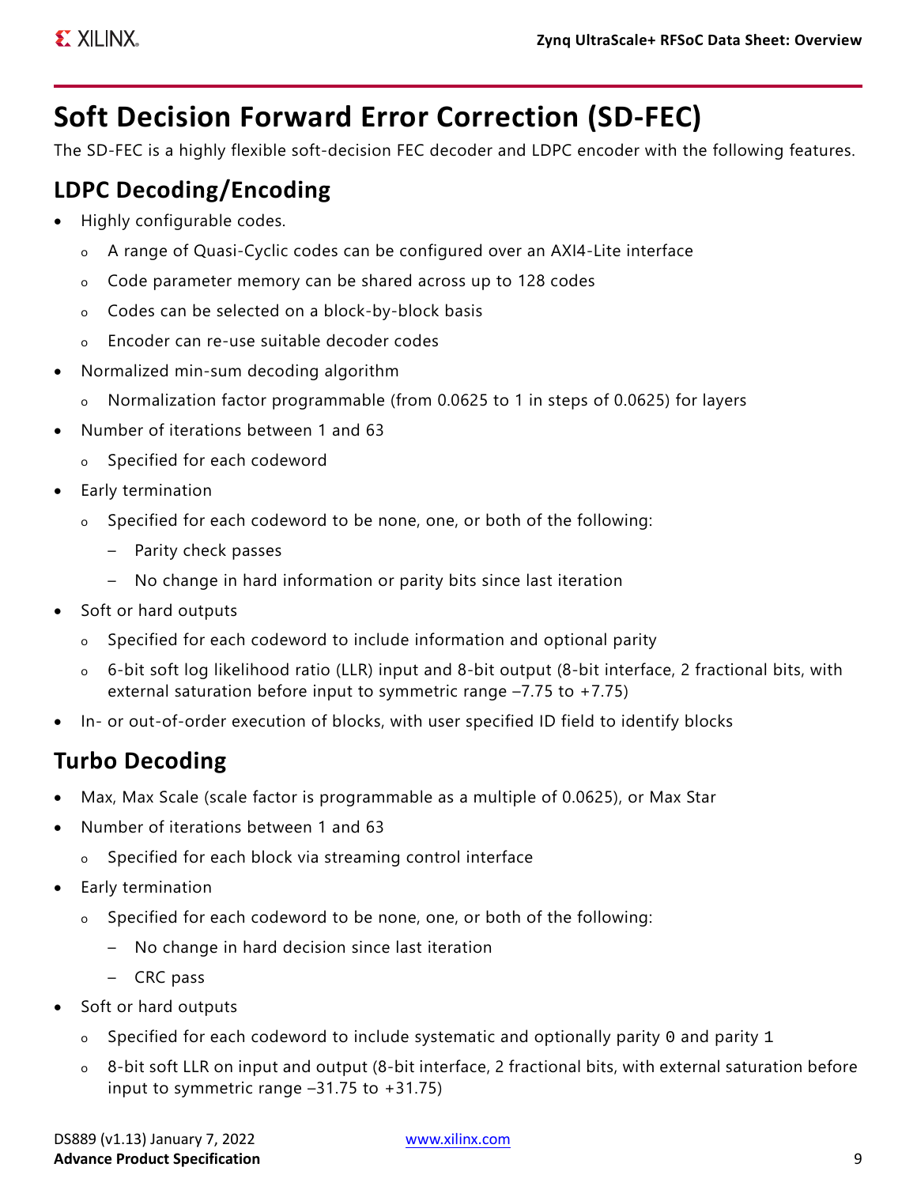# **Soft Decision Forward Error Correction (SD-FEC)**

The SD-FEC is a highly flexible soft-decision FEC decoder and LDPC encoder with the following features.

## **LDPC Decoding/Encoding**

- Highly configurable codes.
	- o A range of Quasi-Cyclic codes can be configured over an AXI4-Lite interface
	- o Code parameter memory can be shared across up to 128 codes
	- o Codes can be selected on a block-by-block basis
	- o Encoder can re-use suitable decoder codes
- Normalized min-sum decoding algorithm
	- o Normalization factor programmable (from 0.0625 to 1 in steps of 0.0625) for layers
- Number of iterations between 1 and 63
	- o Specified for each codeword
- Early termination
	- o Specified for each codeword to be none, one, or both of the following:
		- Parity check passes
		- No change in hard information or parity bits since last iteration
- Soft or hard outputs
	- o Specified for each codeword to include information and optional parity
	- o 6-bit soft log likelihood ratio (LLR) input and 8-bit output (8-bit interface, 2 fractional bits, with external saturation before input to symmetric range –7.75 to +7.75)
- In- or out-of-order execution of blocks, with user specified ID field to identify blocks

## **Turbo Decoding**

- Max, Max Scale (scale factor is programmable as a multiple of 0.0625), or Max Star
- Number of iterations between 1 and 63
	- o Specified for each block via streaming control interface
- Early termination
	- o Specified for each codeword to be none, one, or both of the following:
		- No change in hard decision since last iteration
		- CRC pass
- Soft or hard outputs
	- <sup>o</sup> Specified for each codeword to include systematic and optionally parity 0 and parity 1
	- o 8-bit soft LLR on input and output (8-bit interface, 2 fractional bits, with external saturation before input to symmetric range –31.75 to +31.75)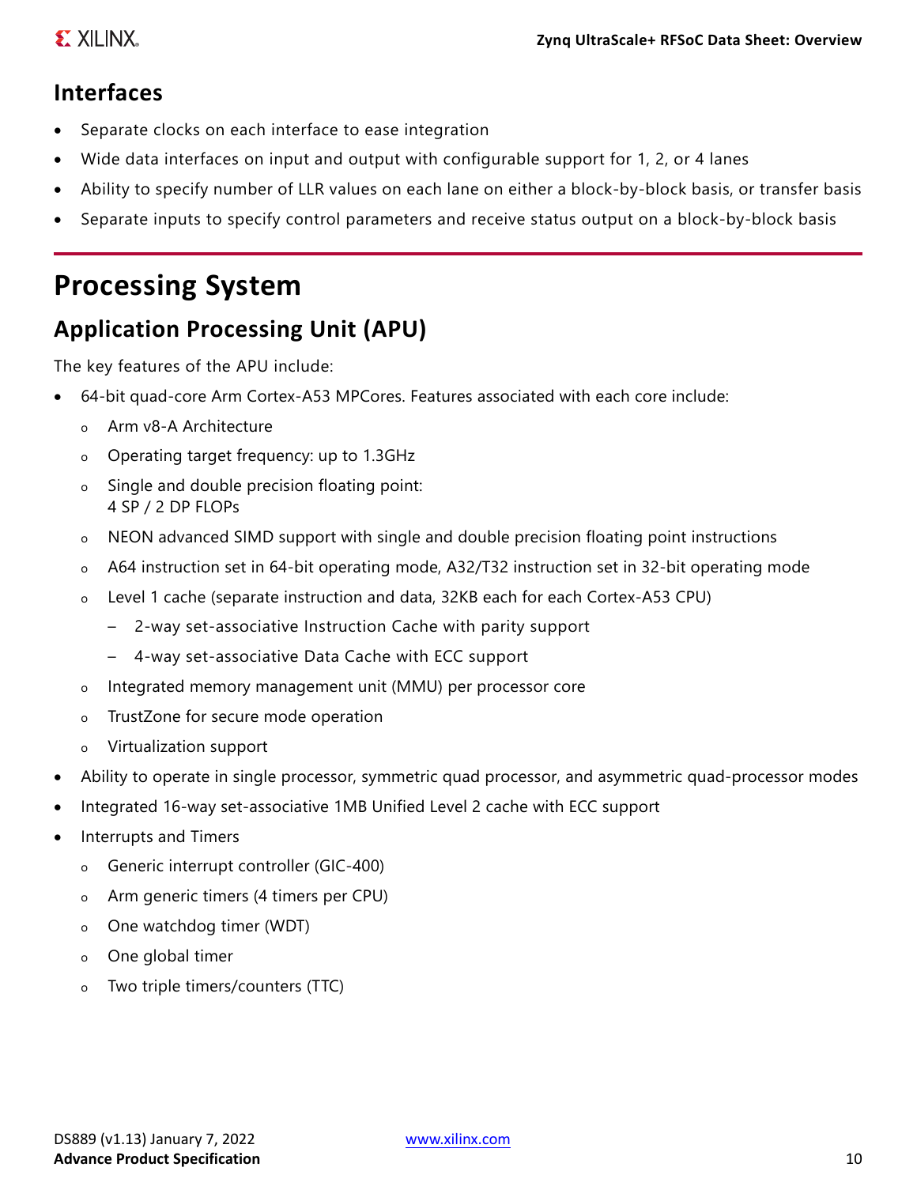### **Interfaces**

- Separate clocks on each interface to ease integration
- Wide data interfaces on input and output with configurable support for 1, 2, or 4 lanes
- Ability to specify number of LLR values on each lane on either a block-by-block basis, or transfer basis
- Separate inputs to specify control parameters and receive status output on a block-by-block basis

# **Processing System**

## <span id="page-9-0"></span>**Application Processing Unit (APU)**

The key features of the APU include:

- 64-bit quad-core Arm Cortex-A53 MPCores. Features associated with each core include:
	- o Arm v8-A Architecture
	- o Operating target frequency: up to 1.3GHz
	- o Single and double precision floating point: 4 SP / 2 DP FLOPs
	- o NEON advanced SIMD support with single and double precision floating point instructions
	- o A64 instruction set in 64-bit operating mode, A32/T32 instruction set in 32-bit operating mode
	- o Level 1 cache (separate instruction and data, 32KB each for each Cortex-A53 CPU)
		- 2-way set-associative Instruction Cache with parity support
		- 4-way set-associative Data Cache with ECC support
	- o Integrated memory management unit (MMU) per processor core
	- o TrustZone for secure mode operation
	- o Virtualization support
- Ability to operate in single processor, symmetric quad processor, and asymmetric quad-processor modes
- Integrated 16-way set-associative 1MB Unified Level 2 cache with ECC support
- Interrupts and Timers
	- o Generic interrupt controller (GIC-400)
	- o Arm generic timers (4 timers per CPU)
	- o One watchdog timer (WDT)
	- o One global timer
	- o Two triple timers/counters (TTC)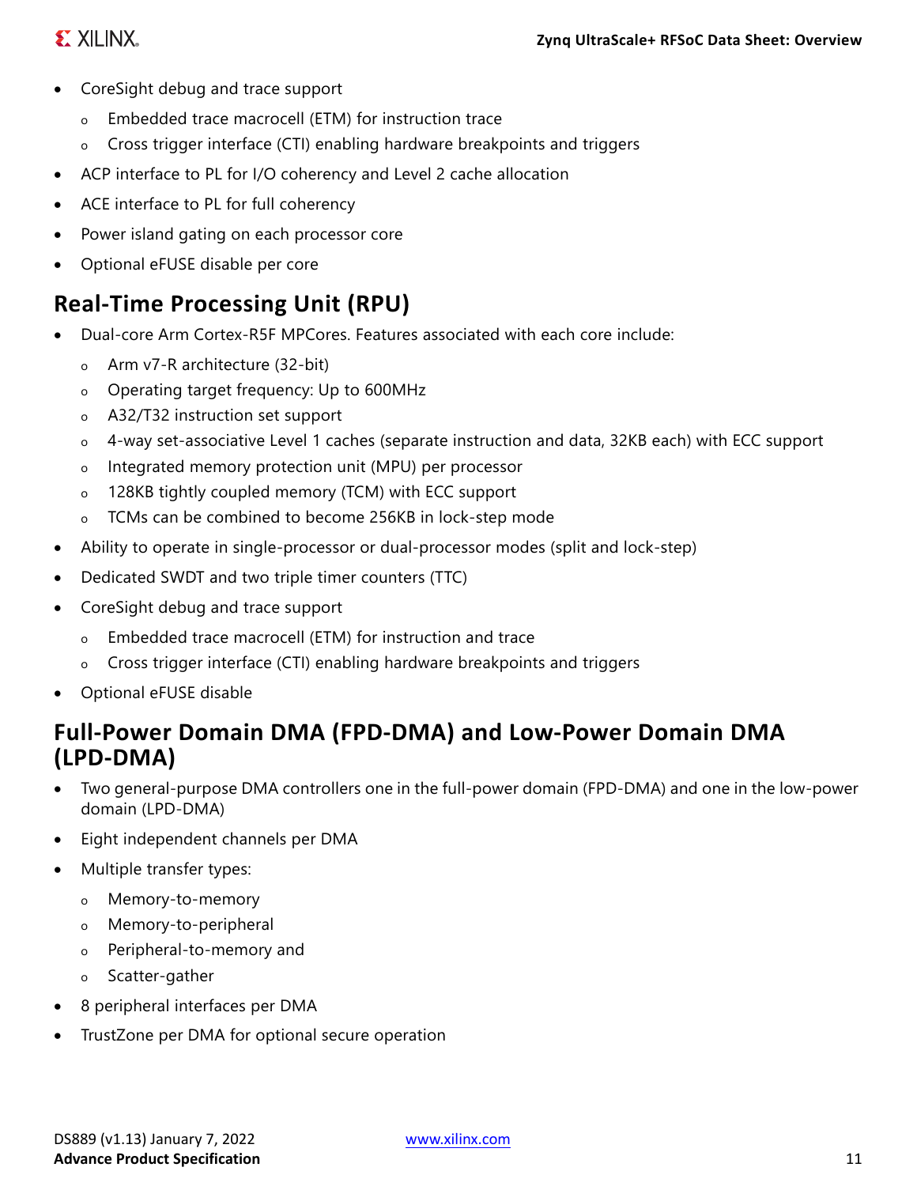- CoreSight debug and trace support
	- o Embedded trace macrocell (ETM) for instruction trace
	- o Cross trigger interface (CTI) enabling hardware breakpoints and triggers
- ACP interface to PL for I/O coherency and Level 2 cache allocation
- ACE interface to PL for full coherency
- Power island gating on each processor core
- Optional eFUSE disable per core

## <span id="page-10-0"></span>**Real-Time Processing Unit (RPU)**

- Dual-core Arm Cortex-R5F MPCores. Features associated with each core include:
	- o Arm v7-R architecture (32-bit)
	- o Operating target frequency: Up to 600MHz
	- o A32/T32 instruction set support
	- o 4-way set-associative Level 1 caches (separate instruction and data, 32KB each) with ECC support
	- o Integrated memory protection unit (MPU) per processor
	- o 128KB tightly coupled memory (TCM) with ECC support
	- o TCMs can be combined to become 256KB in lock-step mode
- Ability to operate in single-processor or dual-processor modes (split and lock-step)
- Dedicated SWDT and two triple timer counters (TTC)
- CoreSight debug and trace support
	- o Embedded trace macrocell (ETM) for instruction and trace
	- o Cross trigger interface (CTI) enabling hardware breakpoints and triggers
- Optional eFUSE disable

### **Full-Power Domain DMA (FPD-DMA) and Low-Power Domain DMA (LPD-DMA)**

- Two general-purpose DMA controllers one in the full-power domain (FPD-DMA) and one in the low-power domain (LPD-DMA)
- Eight independent channels per DMA
- Multiple transfer types:
	- o Memory-to-memory
	- o Memory-to-peripheral
	- o Peripheral-to-memory and
	- o Scatter-gather
- 8 peripheral interfaces per DMA
- TrustZone per DMA for optional secure operation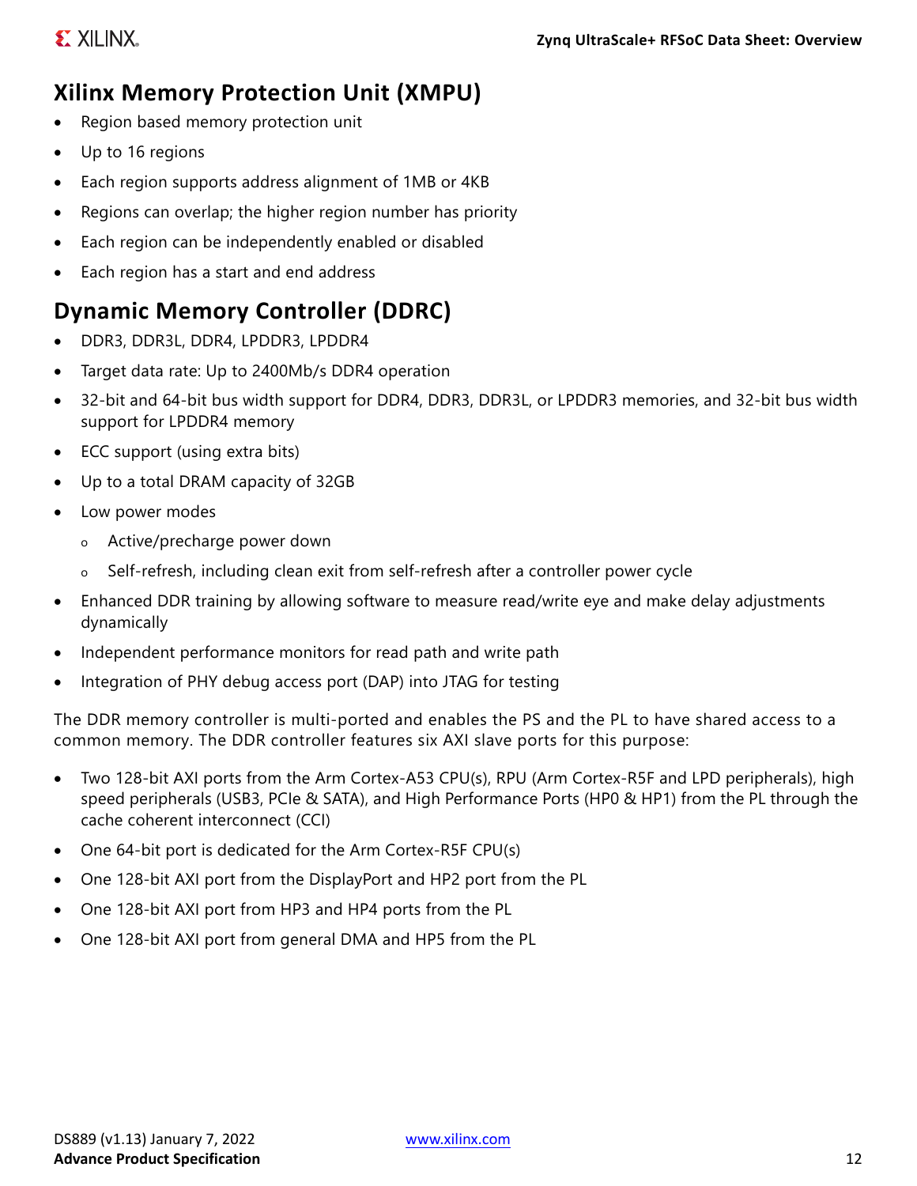## **Xilinx Memory Protection Unit (XMPU)**

- Region based memory protection unit
- Up to 16 regions
- Each region supports address alignment of 1MB or 4KB
- Regions can overlap; the higher region number has priority
- Each region can be independently enabled or disabled
- Each region has a start and end address

## **Dynamic Memory Controller (DDRC)**

- DDR3, DDR3L, DDR4, LPDDR3, LPDDR4
- Target data rate: Up to 2400Mb/s DDR4 operation
- 32-bit and 64-bit bus width support for DDR4, DDR3, DDR3L, or LPDDR3 memories, and 32-bit bus width support for LPDDR4 memory
- ECC support (using extra bits)
- Up to a total DRAM capacity of 32GB
- Low power modes
	- o Active/precharge power down
	- Self-refresh, including clean exit from self-refresh after a controller power cycle
- Enhanced DDR training by allowing software to measure read/write eye and make delay adjustments dynamically
- Independent performance monitors for read path and write path
- Integration of PHY debug access port (DAP) into JTAG for testing

The DDR memory controller is multi-ported and enables the PS and the PL to have shared access to a common memory. The DDR controller features six AXI slave ports for this purpose:

- Two 128-bit AXI ports from the Arm Cortex-A53 CPU(s), RPU (Arm Cortex-R5F and LPD peripherals), high speed peripherals (USB3, PCIe & SATA), and High Performance Ports (HP0 & HP1) from the PL through the cache coherent interconnect (CCI)
- One 64-bit port is dedicated for the Arm Cortex-R5F CPU(s)
- One 128-bit AXI port from the DisplayPort and HP2 port from the PL
- One 128-bit AXI port from HP3 and HP4 ports from the PL
- One 128-bit AXI port from general DMA and HP5 from the PL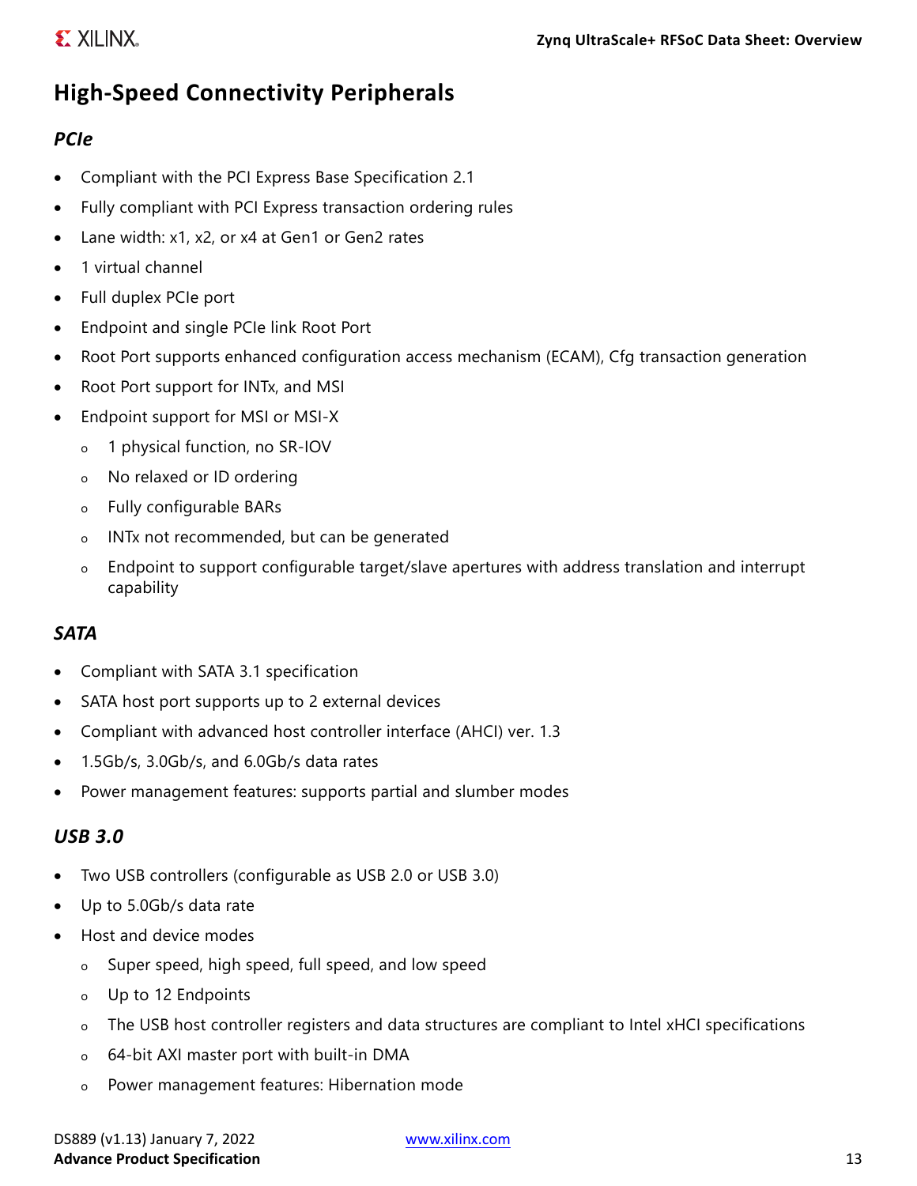## **High-Speed Connectivity Peripherals**

#### *PCIe*

- Compliant with the PCI Express Base Specification 2.1
- Fully compliant with PCI Express transaction ordering rules
- Lane width: x1, x2, or x4 at Gen1 or Gen2 rates
- 1 virtual channel
- Full duplex PCIe port
- Endpoint and single PCIe link Root Port
- Root Port supports enhanced configuration access mechanism (ECAM), Cfg transaction generation
- Root Port support for INTx, and MSI
- Endpoint support for MSI or MSI-X
	- o 1 physical function, no SR-IOV
	- o No relaxed or ID ordering
	- o Fully configurable BARs
	- o INTx not recommended, but can be generated
	- o Endpoint to support configurable target/slave apertures with address translation and interrupt capability

#### *SATA*

- Compliant with SATA 3.1 specification
- SATA host port supports up to 2 external devices
- Compliant with advanced host controller interface (AHCI) ver. 1.3
- 1.5Gb/s, 3.0Gb/s, and 6.0Gb/s data rates
- Power management features: supports partial and slumber modes

#### *USB 3.0*

- Two USB controllers (configurable as USB 2.0 or USB 3.0)
- Up to 5.0Gb/s data rate
- Host and device modes
	- o Super speed, high speed, full speed, and low speed
	- o Up to 12 Endpoints
	- o The USB host controller registers and data structures are compliant to Intel xHCI specifications
	- o 64-bit AXI master port with built-in DMA
	- o Power management features: Hibernation mode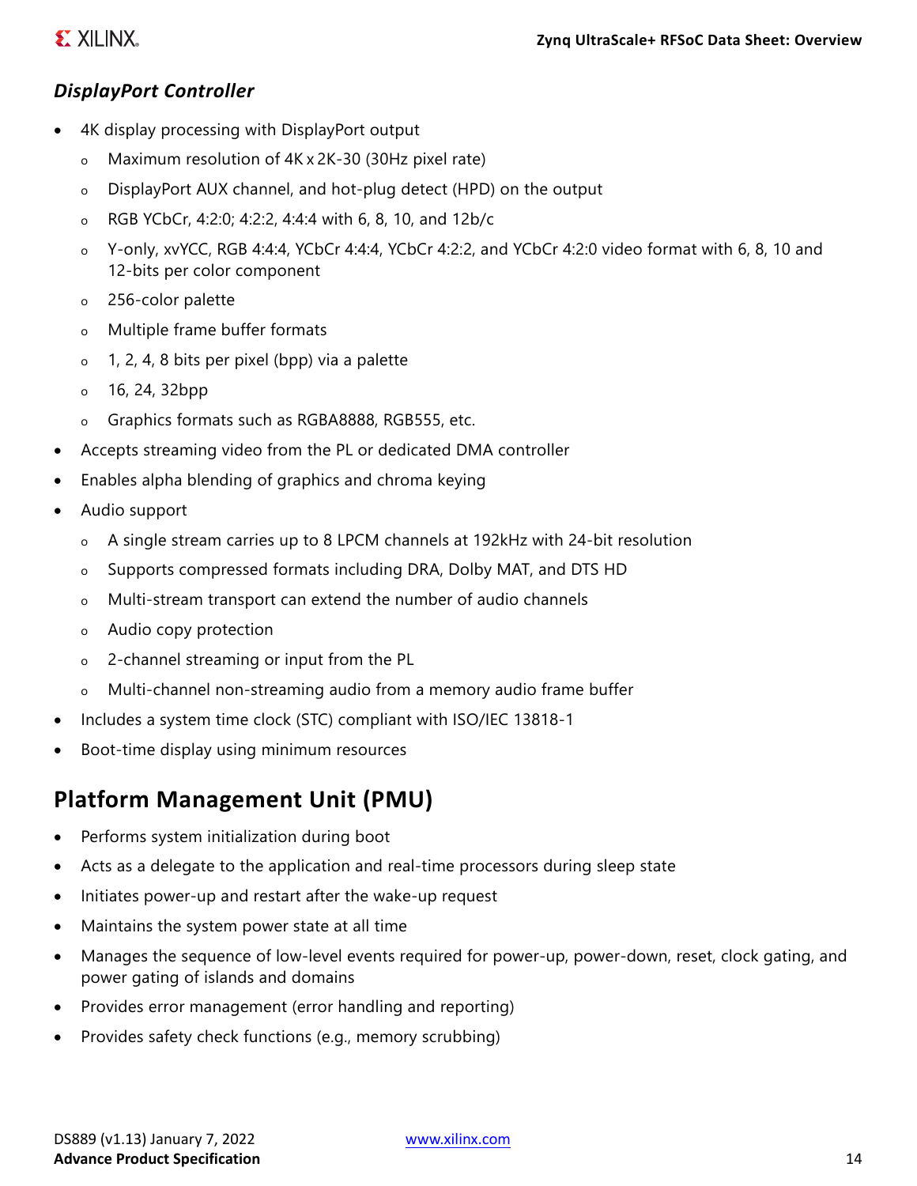### *DisplayPort Controller*

- 4K display processing with DisplayPort output
	- o Maximum resolution of 4K x 2K-30 (30Hz pixel rate)
	- o DisplayPort AUX channel, and hot-plug detect (HPD) on the output
	- o RGB YCbCr, 4:2:0; 4:2:2, 4:4:4 with 6, 8, 10, and 12b/c
	- o Y-only, xvYCC, RGB 4:4:4, YCbCr 4:4:4, YCbCr 4:2:2, and YCbCr 4:2:0 video format with 6, 8, 10 and 12-bits per color component
	- o 256-color palette
	- o Multiple frame buffer formats
	- o 1, 2, 4, 8 bits per pixel (bpp) via a palette
	- o 16, 24, 32bpp
	- o Graphics formats such as RGBA8888, RGB555, etc.
- Accepts streaming video from the PL or dedicated DMA controller
- Enables alpha blending of graphics and chroma keying
- Audio support
	- o A single stream carries up to 8 LPCM channels at 192kHz with 24-bit resolution
	- o Supports compressed formats including DRA, Dolby MAT, and DTS HD
	- o Multi-stream transport can extend the number of audio channels
	- o Audio copy protection
	- o 2-channel streaming or input from the PL
	- o Multi-channel non-streaming audio from a memory audio frame buffer
- Includes a system time clock (STC) compliant with ISO/IEC 13818-1
- Boot-time display using minimum resources

## **Platform Management Unit (PMU)**

- Performs system initialization during boot
- Acts as a delegate to the application and real-time processors during sleep state
- Initiates power-up and restart after the wake-up request
- Maintains the system power state at all time
- Manages the sequence of low-level events required for power-up, power-down, reset, clock gating, and power gating of islands and domains
- Provides error management (error handling and reporting)
- Provides safety check functions (e.g., memory scrubbing)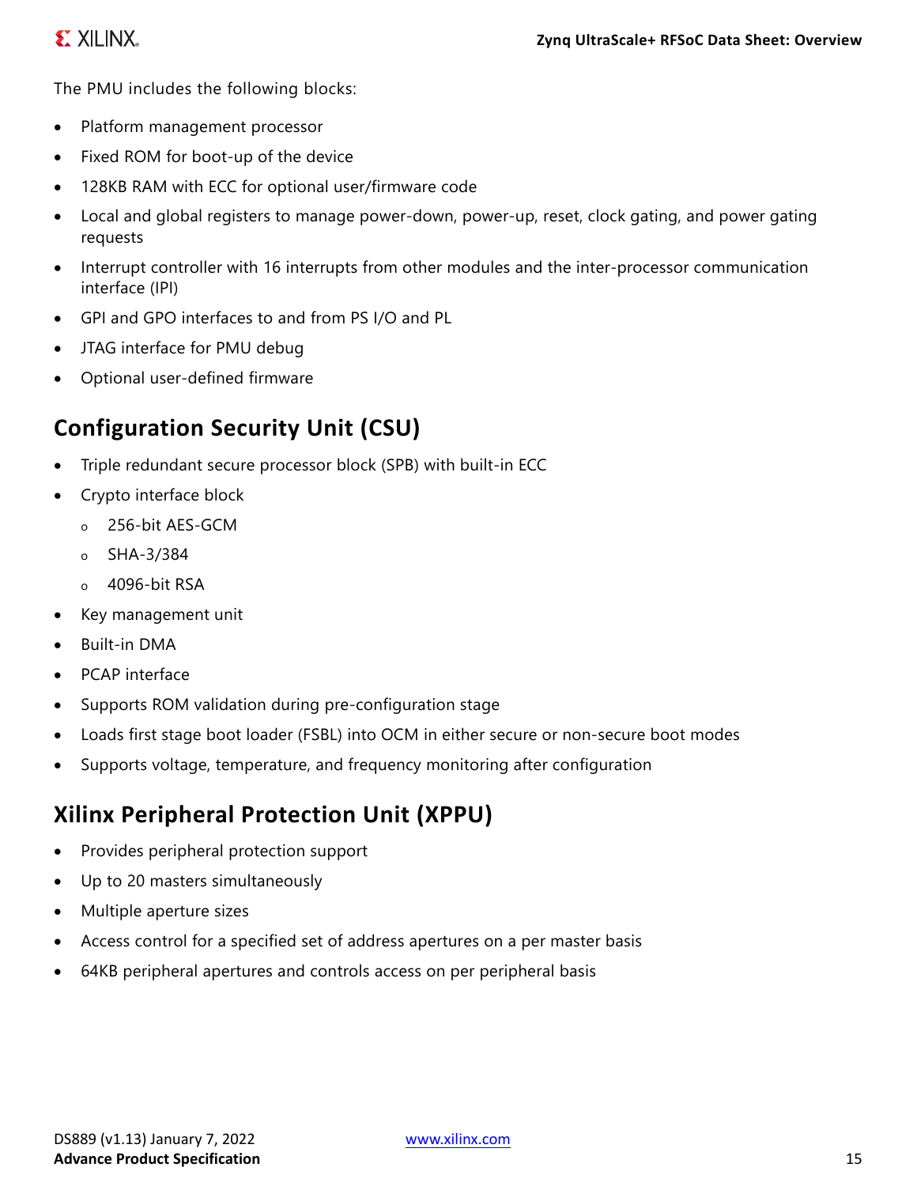The PMU includes the following blocks:

- Platform management processor
- Fixed ROM for boot-up of the device
- 128KB RAM with ECC for optional user/firmware code
- Local and global registers to manage power-down, power-up, reset, clock gating, and power gating requests
- Interrupt controller with 16 interrupts from other modules and the inter-processor communication interface (IPI)
- GPI and GPO interfaces to and from PS I/O and PL
- JTAG interface for PMU debug
- Optional user-defined firmware

## **Configuration Security Unit (CSU)**

- Triple redundant secure processor block (SPB) with built-in ECC
- Crypto interface block
	- o 256-bit AES-GCM
	- o SHA-3/384
	- o 4096-bit RSA
- Key management unit
- Built-in DMA
- PCAP interface
- Supports ROM validation during pre-configuration stage
- Loads first stage boot loader (FSBL) into OCM in either secure or non-secure boot modes
- Supports voltage, temperature, and frequency monitoring after configuration

### **Xilinx Peripheral Protection Unit (XPPU)**

- Provides peripheral protection support
- Up to 20 masters simultaneously
- Multiple aperture sizes
- Access control for a specified set of address apertures on a per master basis
- 64KB peripheral apertures and controls access on per peripheral basis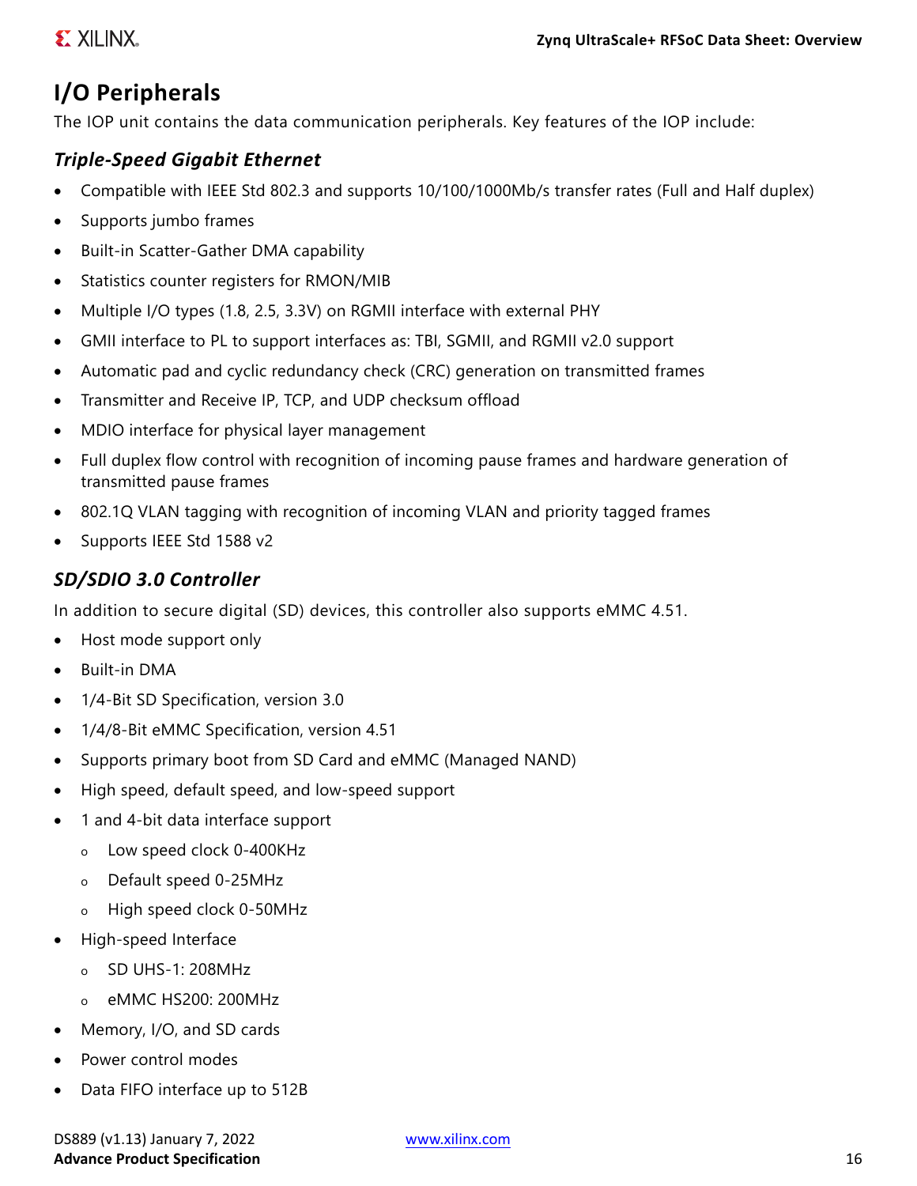## **I/O Peripherals**

The IOP unit contains the data communication peripherals. Key features of the IOP include:

### *Triple-Speed Gigabit Ethernet*

- Compatible with IEEE Std 802.3 and supports 10/100/1000Mb/s transfer rates (Full and Half duplex)
- Supports jumbo frames
- Built-in Scatter-Gather DMA capability
- Statistics counter registers for RMON/MIB
- Multiple I/O types (1.8, 2.5, 3.3V) on RGMII interface with external PHY
- GMII interface to PL to support interfaces as: TBI, SGMII, and RGMII v2.0 support
- Automatic pad and cyclic redundancy check (CRC) generation on transmitted frames
- Transmitter and Receive IP, TCP, and UDP checksum offload
- MDIO interface for physical layer management
- Full duplex flow control with recognition of incoming pause frames and hardware generation of transmitted pause frames
- 802.1Q VLAN tagging with recognition of incoming VLAN and priority tagged frames
- Supports IEEE Std 1588 v2

#### *SD/SDIO 3.0 Controller*

In addition to secure digital (SD) devices, this controller also supports eMMC 4.51.

- Host mode support only
- Built-in DMA
- 1/4-Bit SD Specification, version 3.0
- 1/4/8-Bit eMMC Specification, version 4.51
- Supports primary boot from SD Card and eMMC (Managed NAND)
- High speed, default speed, and low-speed support
- 1 and 4-bit data interface support
	- o Low speed clock 0-400KHz
	- o Default speed 0-25MHz
	- o High speed clock 0-50MHz
- High-speed Interface
	- $O<sub>o</sub>$  SD UHS-1: 208MHz
	- o eMMC HS200: 200MHz
- Memory, I/O, and SD cards
- Power control modes
- Data FIFO interface up to 512B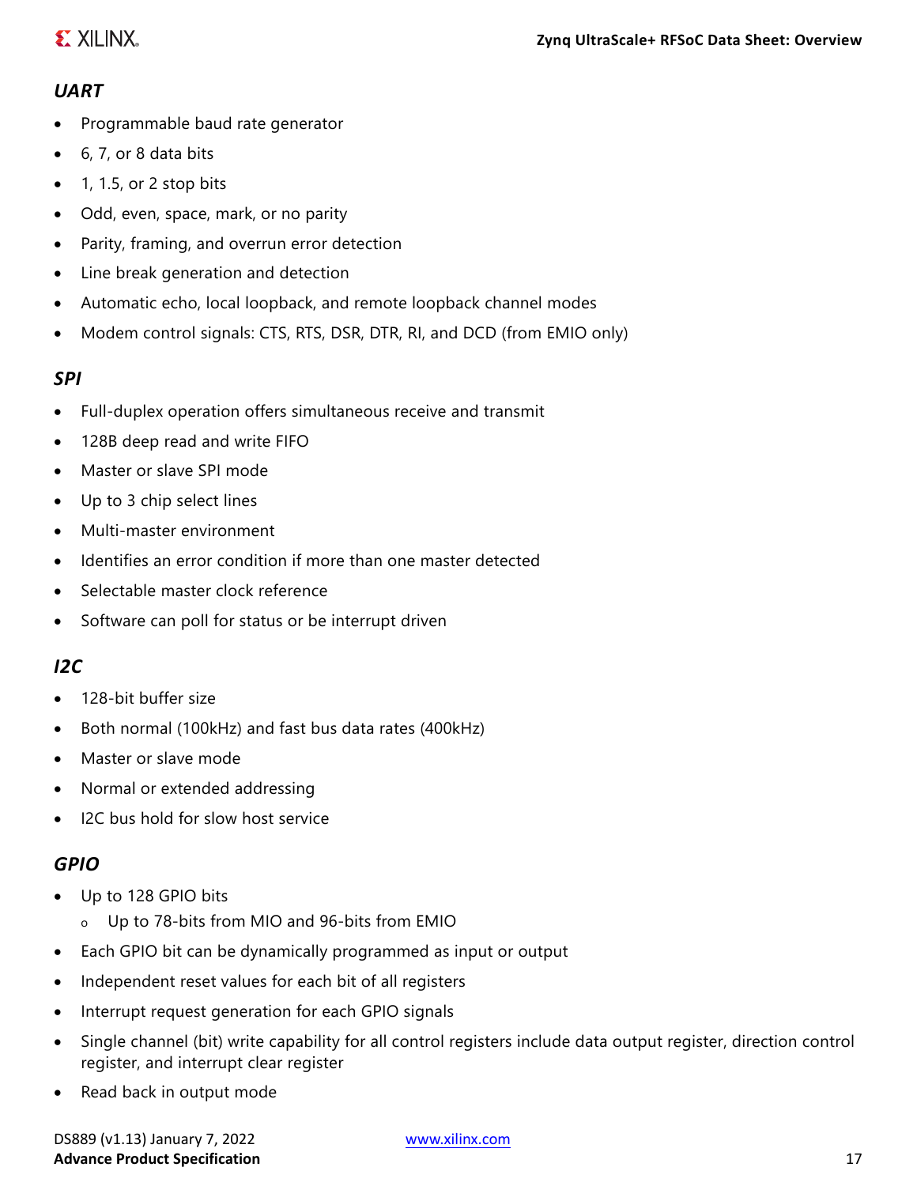#### *UART*

- Programmable baud rate generator
- 6, 7, or 8 data bits
- $\bullet$  1, 1.5, or 2 stop bits
- Odd, even, space, mark, or no parity
- Parity, framing, and overrun error detection
- Line break generation and detection
- Automatic echo, local loopback, and remote loopback channel modes
- Modem control signals: CTS, RTS, DSR, DTR, RI, and DCD (from EMIO only)

#### *SPI*

- Full-duplex operation offers simultaneous receive and transmit
- 128B deep read and write FIFO
- Master or slave SPI mode
- Up to 3 chip select lines
- Multi-master environment
- Identifies an error condition if more than one master detected
- Selectable master clock reference
- Software can poll for status or be interrupt driven

#### *I2C*

- 128-bit buffer size
- Both normal (100kHz) and fast bus data rates (400kHz)
- Master or slave mode
- Normal or extended addressing
- I2C bus hold for slow host service

#### *GPIO*

- Up to 128 GPIO bits
	- o Up to 78-bits from MIO and 96-bits from EMIO
- Each GPIO bit can be dynamically programmed as input or output
- Independent reset values for each bit of all registers
- Interrupt request generation for each GPIO signals
- Single channel (bit) write capability for all control registers include data output register, direction control register, and interrupt clear register
- Read back in output mode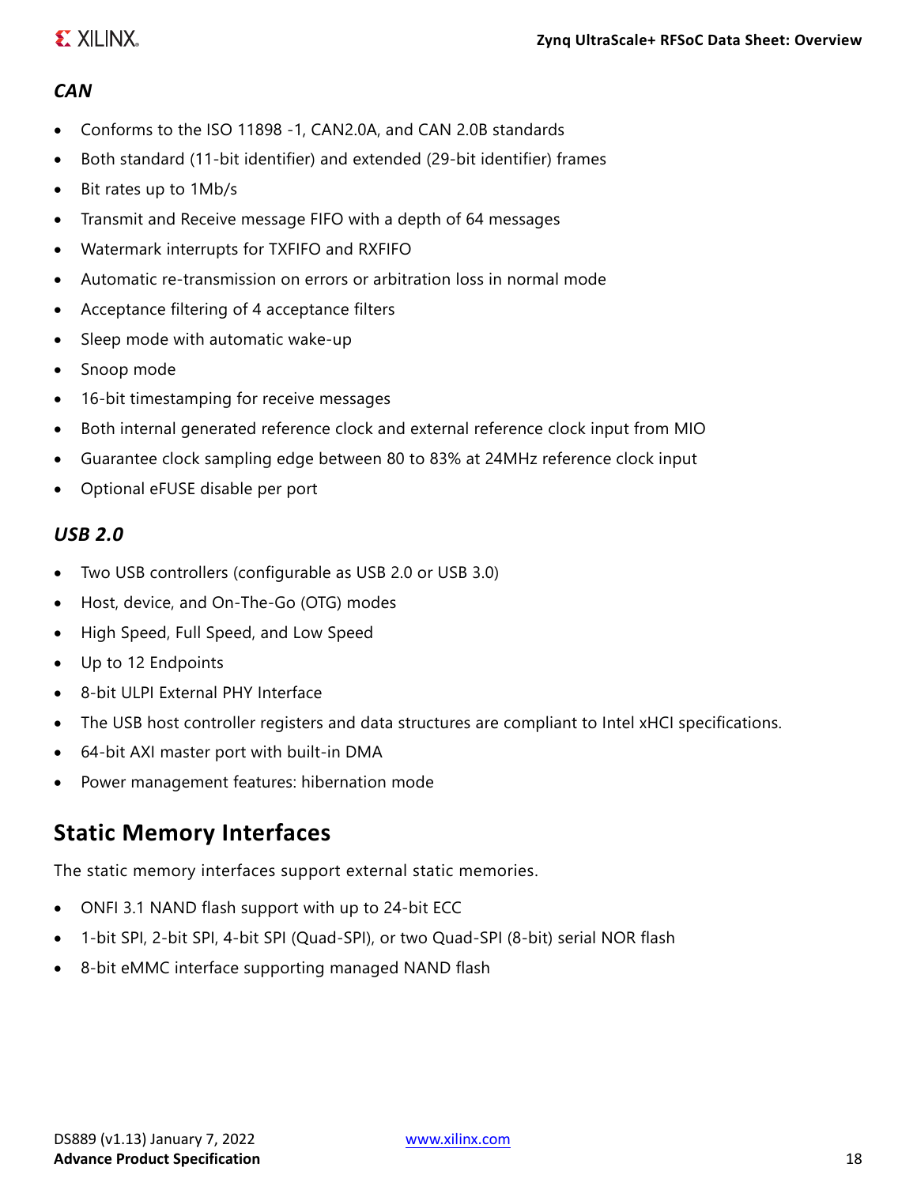#### *CAN*

- Conforms to the ISO 11898 -1, CAN2.0A, and CAN 2.0B standards
- Both standard (11-bit identifier) and extended (29-bit identifier) frames
- Bit rates up to 1Mb/s
- Transmit and Receive message FIFO with a depth of 64 messages
- Watermark interrupts for TXFIFO and RXFIFO
- Automatic re-transmission on errors or arbitration loss in normal mode
- Acceptance filtering of 4 acceptance filters
- Sleep mode with automatic wake-up
- Snoop mode
- 16-bit timestamping for receive messages
- Both internal generated reference clock and external reference clock input from MIO
- Guarantee clock sampling edge between 80 to 83% at 24MHz reference clock input
- Optional eFUSE disable per port

#### *USB 2.0*

- Two USB controllers (configurable as USB 2.0 or USB 3.0)
- Host, device, and On-The-Go (OTG) modes
- High Speed, Full Speed, and Low Speed
- Up to 12 Endpoints
- 8-bit ULPI External PHY Interface
- The USB host controller registers and data structures are compliant to Intel xHCI specifications.
- 64-bit AXI master port with built-in DMA
- Power management features: hibernation mode

### **Static Memory Interfaces**

The static memory interfaces support external static memories.

- ONFI 3.1 NAND flash support with up to 24-bit ECC
- 1-bit SPI, 2-bit SPI, 4-bit SPI (Quad-SPI), or two Quad-SPI (8-bit) serial NOR flash
- 8-bit eMMC interface supporting managed NAND flash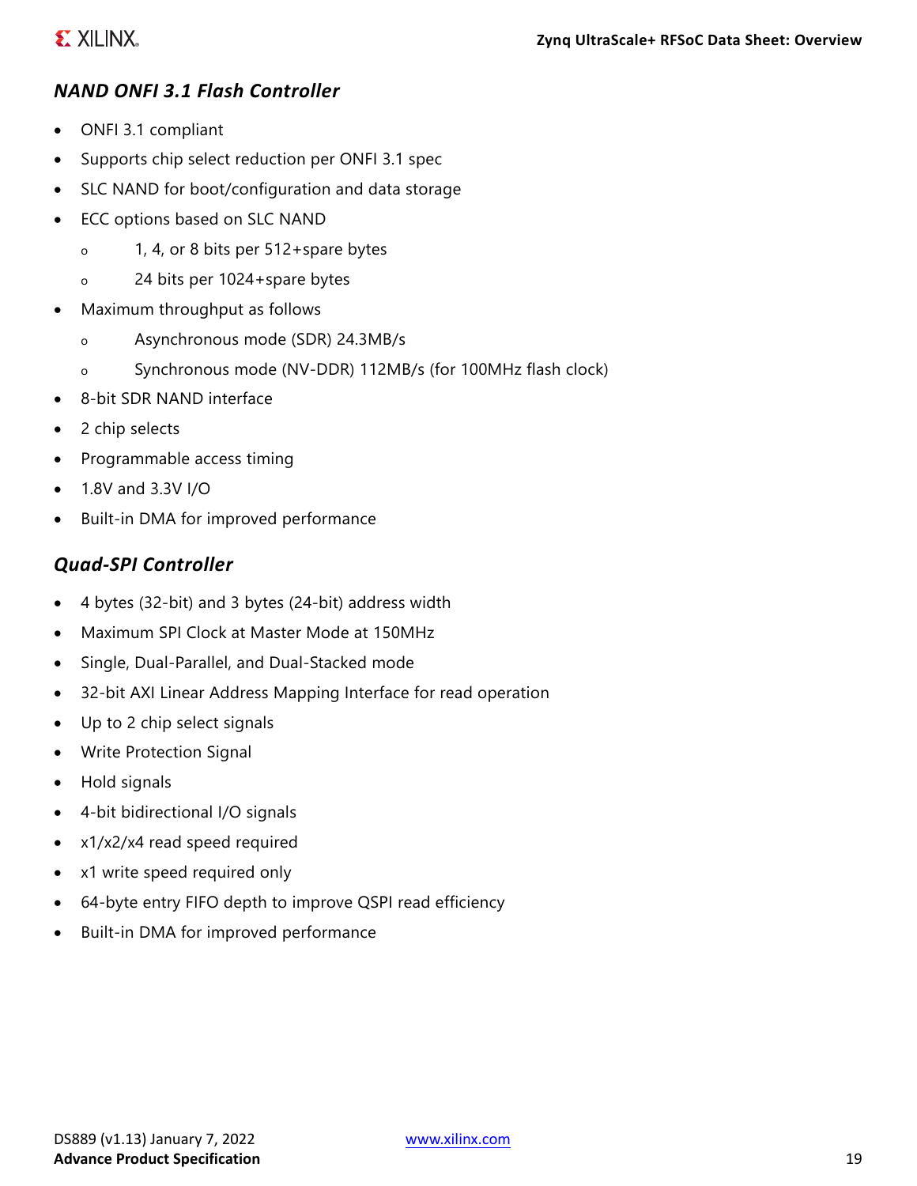### *NAND ONFI 3.1 Flash Controller*

- ONFI 3.1 compliant
- Supports chip select reduction per ONFI 3.1 spec
- SLC NAND for boot/configuration and data storage
- ECC options based on SLC NAND
	- o 1, 4, or 8 bits per 512+spare bytes
	- o 24 bits per 1024+spare bytes
- Maximum throughput as follows
	- o Asynchronous mode (SDR) 24.3MB/s
	- o Synchronous mode (NV-DDR) 112MB/s (for 100MHz flash clock)
- 8-bit SDR NAND interface
- 2 chip selects
- Programmable access timing
- 1.8V and 3.3V I/O
- Built-in DMA for improved performance

### *Quad-SPI Controller*

- 4 bytes (32-bit) and 3 bytes (24-bit) address width
- Maximum SPI Clock at Master Mode at 150MHz
- Single, Dual-Parallel, and Dual-Stacked mode
- 32-bit AXI Linear Address Mapping Interface for read operation
- Up to 2 chip select signals
- Write Protection Signal
- Hold signals
- 4-bit bidirectional I/O signals
- x1/x2/x4 read speed required
- x1 write speed required only
- 64-byte entry FIFO depth to improve QSPI read efficiency
- Built-in DMA for improved performance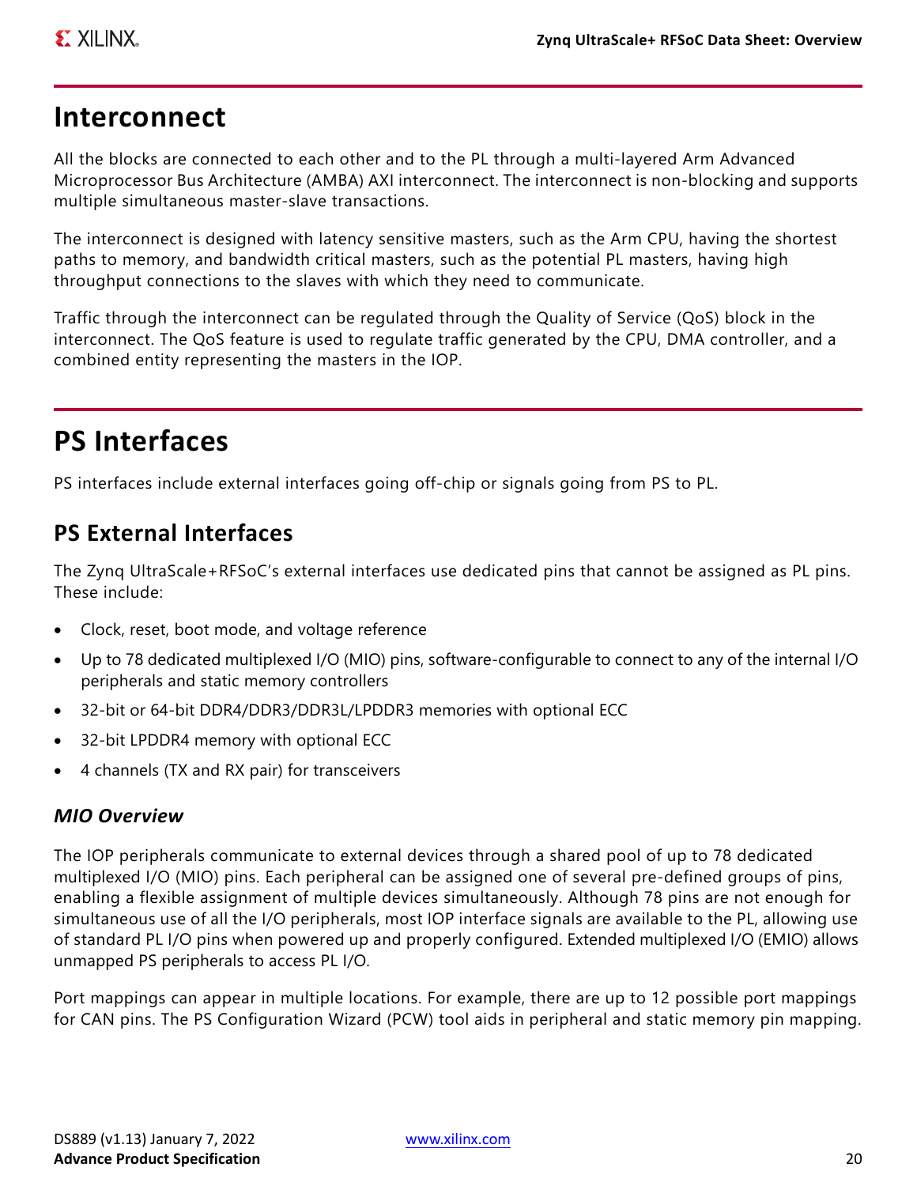## **Interconnect**

All the blocks are connected to each other and to the PL through a multi-layered Arm Advanced Microprocessor Bus Architecture (AMBA) AXI interconnect. The interconnect is non-blocking and supports multiple simultaneous master-slave transactions.

The interconnect is designed with latency sensitive masters, such as the Arm CPU, having the shortest paths to memory, and bandwidth critical masters, such as the potential PL masters, having high throughput connections to the slaves with which they need to communicate.

Traffic through the interconnect can be regulated through the Quality of Service (QoS) block in the interconnect. The QoS feature is used to regulate traffic generated by the CPU, DMA controller, and a combined entity representing the masters in the IOP.

# **PS Interfaces**

PS interfaces include external interfaces going off-chip or signals going from PS to PL.

### **PS External Interfaces**

The Zynq UltraScale+RFSoC's external interfaces use dedicated pins that cannot be assigned as PL pins. These include:

- Clock, reset, boot mode, and voltage reference
- Up to 78 dedicated multiplexed I/O (MIO) pins, software-configurable to connect to any of the internal I/O peripherals and static memory controllers
- 32-bit or 64-bit DDR4/DDR3/DDR3L/LPDDR3 memories with optional ECC
- 32-bit LPDDR4 memory with optional ECC
- 4 channels (TX and RX pair) for transceivers

#### *MIO Overview*

The IOP peripherals communicate to external devices through a shared pool of up to 78 dedicated multiplexed I/O (MIO) pins. Each peripheral can be assigned one of several pre-defined groups of pins, enabling a flexible assignment of multiple devices simultaneously. Although 78 pins are not enough for simultaneous use of all the I/O peripherals, most IOP interface signals are available to the PL, allowing use of standard PL I/O pins when powered up and properly configured. Extended multiplexed I/O (EMIO) allows unmapped PS peripherals to access PL I/O.

Port mappings can appear in multiple locations. For example, there are up to 12 possible port mappings for CAN pins. The PS Configuration Wizard (PCW) tool aids in peripheral and static memory pin mapping.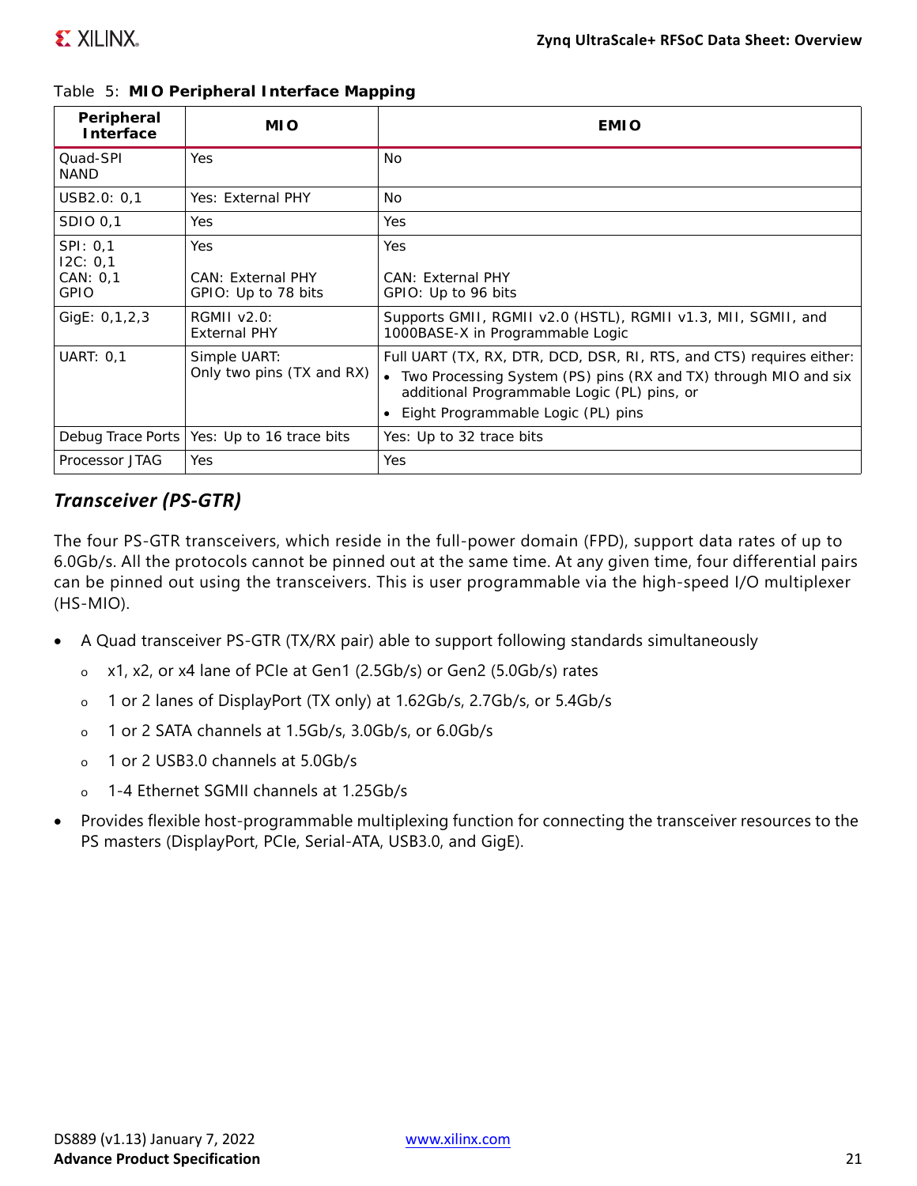| Peripheral<br>Interface                         | <b>MIO</b>                                             | <b>EMIO</b>                                                                                                                                                                                                                    |
|-------------------------------------------------|--------------------------------------------------------|--------------------------------------------------------------------------------------------------------------------------------------------------------------------------------------------------------------------------------|
| Ouad-SPI<br><b>NAND</b>                         | <b>Yes</b>                                             | <b>No</b>                                                                                                                                                                                                                      |
| USB2.0: 0,1                                     | Yes: External PHY                                      | N <sub>0</sub>                                                                                                                                                                                                                 |
| SDIO 0,1                                        | <b>Yes</b>                                             | Yes                                                                                                                                                                                                                            |
| SPI: 0,1<br>12C: 0,1<br>CAN: 0.1<br><b>GPIO</b> | <b>Yes</b><br>CAN: External PHY<br>GPIO: Up to 78 bits | Yes<br><b>CAN: External PHY</b><br>GPIO: Up to 96 bits                                                                                                                                                                         |
| GigE: 0,1,2,3                                   | RGMII v2.0:<br><b>External PHY</b>                     | Supports GMII, RGMII v2.0 (HSTL), RGMII v1.3, MII, SGMII, and<br>1000BASE-X in Programmable Logic                                                                                                                              |
| <b>UART: 0,1</b>                                | Simple UART:<br>Only two pins (TX and RX)              | Full UART (TX, RX, DTR, DCD, DSR, RI, RTS, and CTS) requires either:<br>• Two Processing System (PS) pins (RX and TX) through MIO and six<br>additional Programmable Logic (PL) pins, or<br>Eight Programmable Logic (PL) pins |
|                                                 | Debug Trace Ports   Yes: Up to 16 trace bits           | Yes: Up to 32 trace bits                                                                                                                                                                                                       |
| Processor JTAG                                  | Yes                                                    | Yes                                                                                                                                                                                                                            |

*Table 5:* **MIO Peripheral Interface Mapping**

### *Transceiver (PS-GTR)*

The four PS-GTR transceivers, which reside in the full-power domain (FPD), support data rates of up to 6.0Gb/s. All the protocols cannot be pinned out at the same time. At any given time, four differential pairs can be pinned out using the transceivers. This is user programmable via the high-speed I/O multiplexer (HS-MIO).

- A Quad transceiver PS-GTR (TX/RX pair) able to support following standards simultaneously
	- o x1, x2, or x4 lane of PCIe at Gen1 (2.5Gb/s) or Gen2 (5.0Gb/s) rates
	- o 1 or 2 lanes of DisplayPort (TX only) at 1.62Gb/s, 2.7Gb/s, or 5.4Gb/s
	- o 1 or 2 SATA channels at 1.5Gb/s, 3.0Gb/s, or 6.0Gb/s
	- o 1 or 2 USB3.0 channels at 5.0Gb/s
	- o 1-4 Ethernet SGMII channels at 1.25Gb/s
- Provides flexible host-programmable multiplexing function for connecting the transceiver resources to the PS masters (DisplayPort, PCIe, Serial-ATA, USB3.0, and GigE).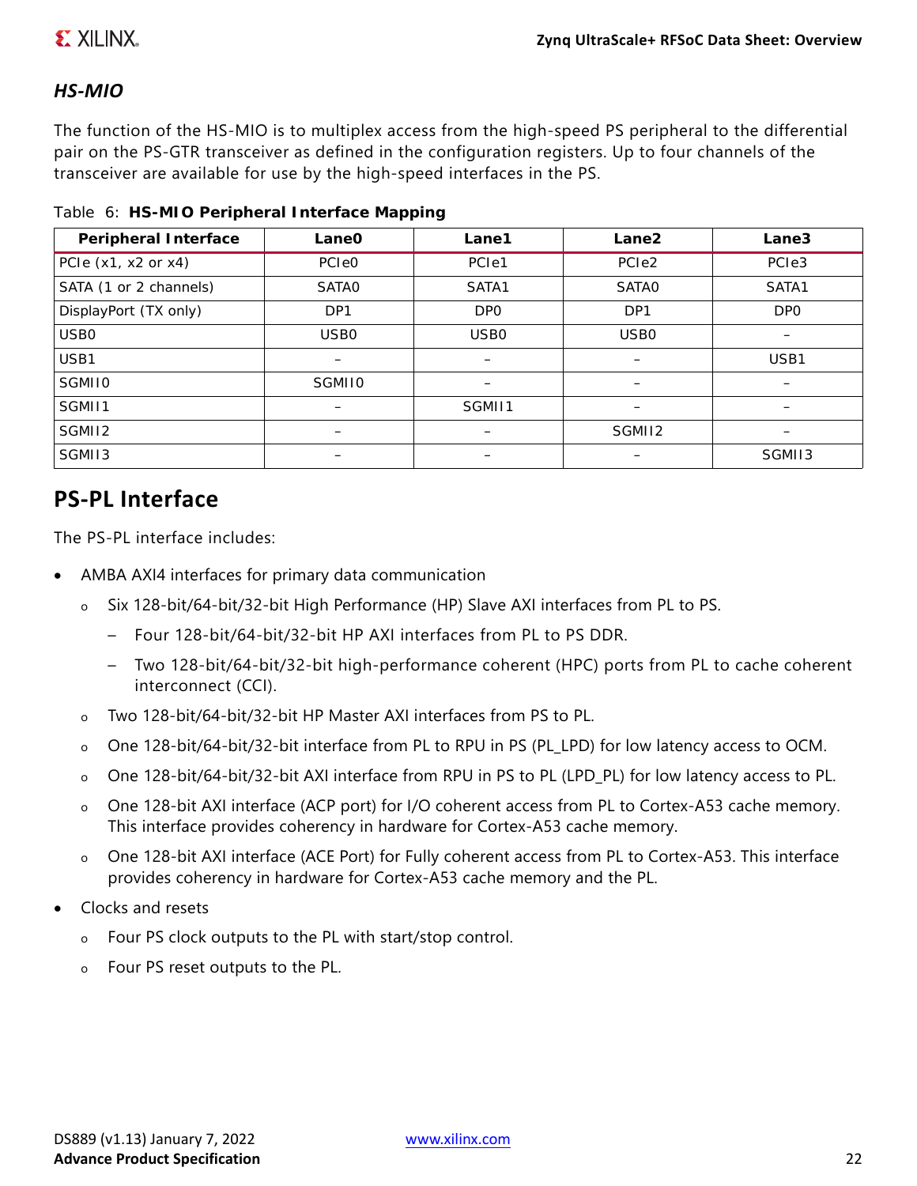### **E. XILINX.**

### *HS-MIO*

The function of the HS-MIO is to multiplex access from the high-speed PS peripheral to the differential pair on the PS-GTR transceiver as defined in the configuration registers. Up to four channels of the transceiver are available for use by the high-speed interfaces in the PS.

|  | Table 6: HS-MIO Peripheral Interface Mapping |  |
|--|----------------------------------------------|--|

| Peripheral Interface    | Lane <sub>O</sub> | Lane1              | Lane <sub>2</sub> | Lane3             |
|-------------------------|-------------------|--------------------|-------------------|-------------------|
| PCIe $(x1, x2$ or $x4)$ | <b>PCIeO</b>      | PC <sub>le</sub> 1 | PC <sub>le2</sub> | PCI <sub>e3</sub> |
| SATA (1 or 2 channels)  | <b>SATAO</b>      | SATA1              | SATA0             | SATA1             |
| DisplayPort (TX only)   | DP <sub>1</sub>   | <b>DPO</b>         | DP <sub>1</sub>   | DP <sub>0</sub>   |
| USB <sub>0</sub>        | USB <sub>0</sub>  | USB <sub>0</sub>   | USB <sub>0</sub>  |                   |
| USB1                    | —                 | —                  |                   | USB1              |
| <b>SGMII0</b>           | <b>SGMII0</b>     |                    |                   |                   |
| SGMII1                  |                   | SGMI11             |                   |                   |
| SGMI12                  |                   |                    | SGMI12            |                   |
| SGMII3                  |                   |                    |                   | SGMII3            |

### **PS-PL Interface**

The PS-PL interface includes:

- AMBA AXI4 interfaces for primary data communication
	- o Six 128-bit/64-bit/32-bit High Performance (HP) Slave AXI interfaces from PL to PS.
		- Four 128-bit/64-bit/32-bit HP AXI interfaces from PL to PS DDR.
		- Two 128-bit/64-bit/32-bit high-performance coherent (HPC) ports from PL to cache coherent interconnect (CCI).
	- o Two 128-bit/64-bit/32-bit HP Master AXI interfaces from PS to PL.
	- o One 128-bit/64-bit/32-bit interface from PL to RPU in PS (PL\_LPD) for low latency access to OCM.
	- o One 128-bit/64-bit/32-bit AXI interface from RPU in PS to PL (LPD\_PL) for low latency access to PL.
	- o One 128-bit AXI interface (ACP port) for I/O coherent access from PL to Cortex-A53 cache memory. This interface provides coherency in hardware for Cortex-A53 cache memory.
	- One 128-bit AXI interface (ACE Port) for Fully coherent access from PL to Cortex-A53. This interface provides coherency in hardware for Cortex-A53 cache memory and the PL.
- Clocks and resets
	- o Four PS clock outputs to the PL with start/stop control.
	- Four PS reset outputs to the PL.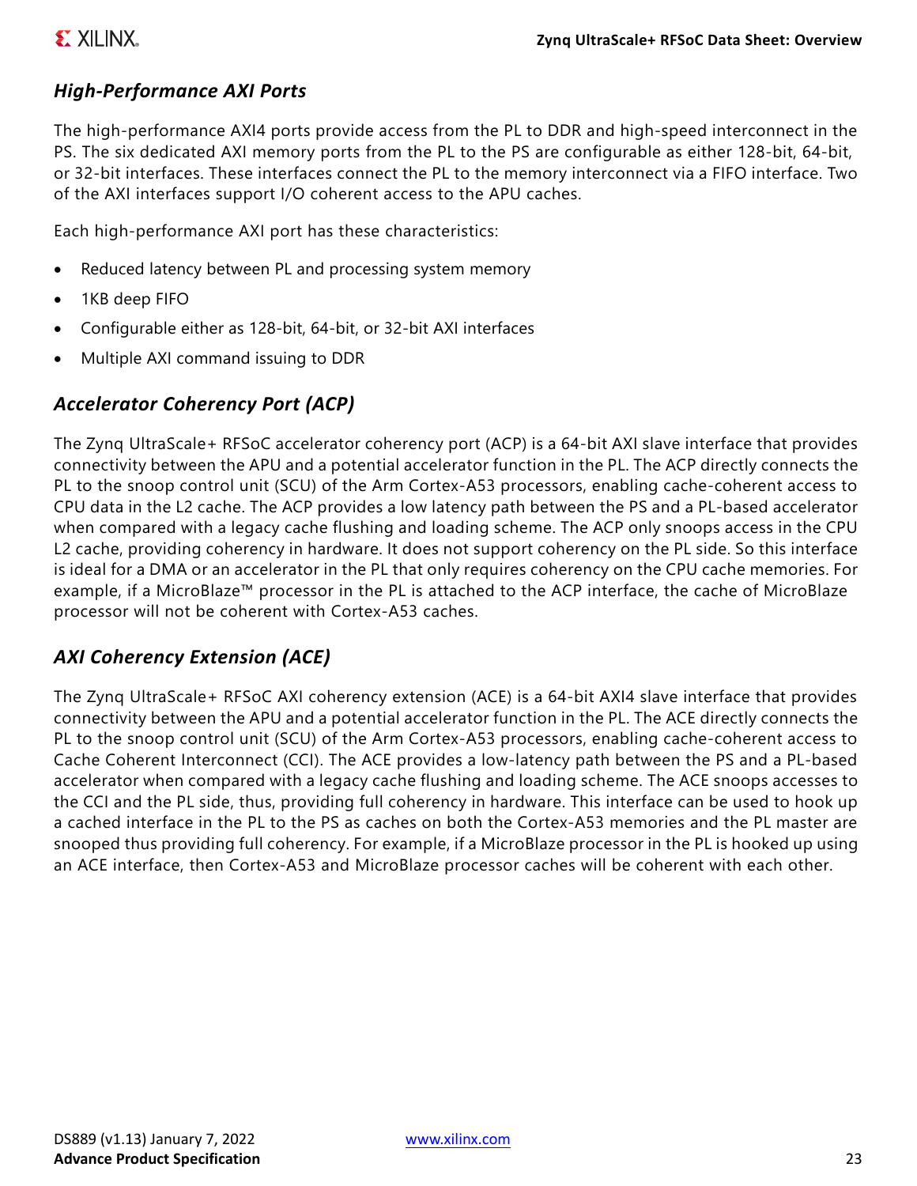### *High-Performance AXI Ports*

The high-performance AXI4 ports provide access from the PL to DDR and high-speed interconnect in the PS. The six dedicated AXI memory ports from the PL to the PS are configurable as either 128-bit, 64-bit, or 32-bit interfaces. These interfaces connect the PL to the memory interconnect via a FIFO interface. Two of the AXI interfaces support I/O coherent access to the APU caches.

Each high-performance AXI port has these characteristics:

- Reduced latency between PL and processing system memory
- 1KB deep FIFO
- Configurable either as 128-bit, 64-bit, or 32-bit AXI interfaces
- Multiple AXI command issuing to DDR

### *Accelerator Coherency Port (ACP)*

The Zynq UltraScale+ RFSoC accelerator coherency port (ACP) is a 64-bit AXI slave interface that provides connectivity between the APU and a potential accelerator function in the PL. The ACP directly connects the PL to the snoop control unit (SCU) of the Arm Cortex-A53 processors, enabling cache-coherent access to CPU data in the L2 cache. The ACP provides a low latency path between the PS and a PL-based accelerator when compared with a legacy cache flushing and loading scheme. The ACP only snoops access in the CPU L2 cache, providing coherency in hardware. It does not support coherency on the PL side. So this interface is ideal for a DMA or an accelerator in the PL that only requires coherency on the CPU cache memories. For example, if a MicroBlaze™ processor in the PL is attached to the ACP interface, the cache of MicroBlaze processor will not be coherent with Cortex-A53 caches.

#### *AXI Coherency Extension (ACE)*

The Zynq UltraScale+ RFSoC AXI coherency extension (ACE) is a 64-bit AXI4 slave interface that provides connectivity between the APU and a potential accelerator function in the PL. The ACE directly connects the PL to the snoop control unit (SCU) of the Arm Cortex-A53 processors, enabling cache-coherent access to Cache Coherent Interconnect (CCI). The ACE provides a low-latency path between the PS and a PL-based accelerator when compared with a legacy cache flushing and loading scheme. The ACE snoops accesses to the CCI and the PL side, thus, providing full coherency in hardware. This interface can be used to hook up a cached interface in the PL to the PS as caches on both the Cortex-A53 memories and the PL master are snooped thus providing full coherency. For example, if a MicroBlaze processor in the PL is hooked up using an ACE interface, then Cortex-A53 and MicroBlaze processor caches will be coherent with each other.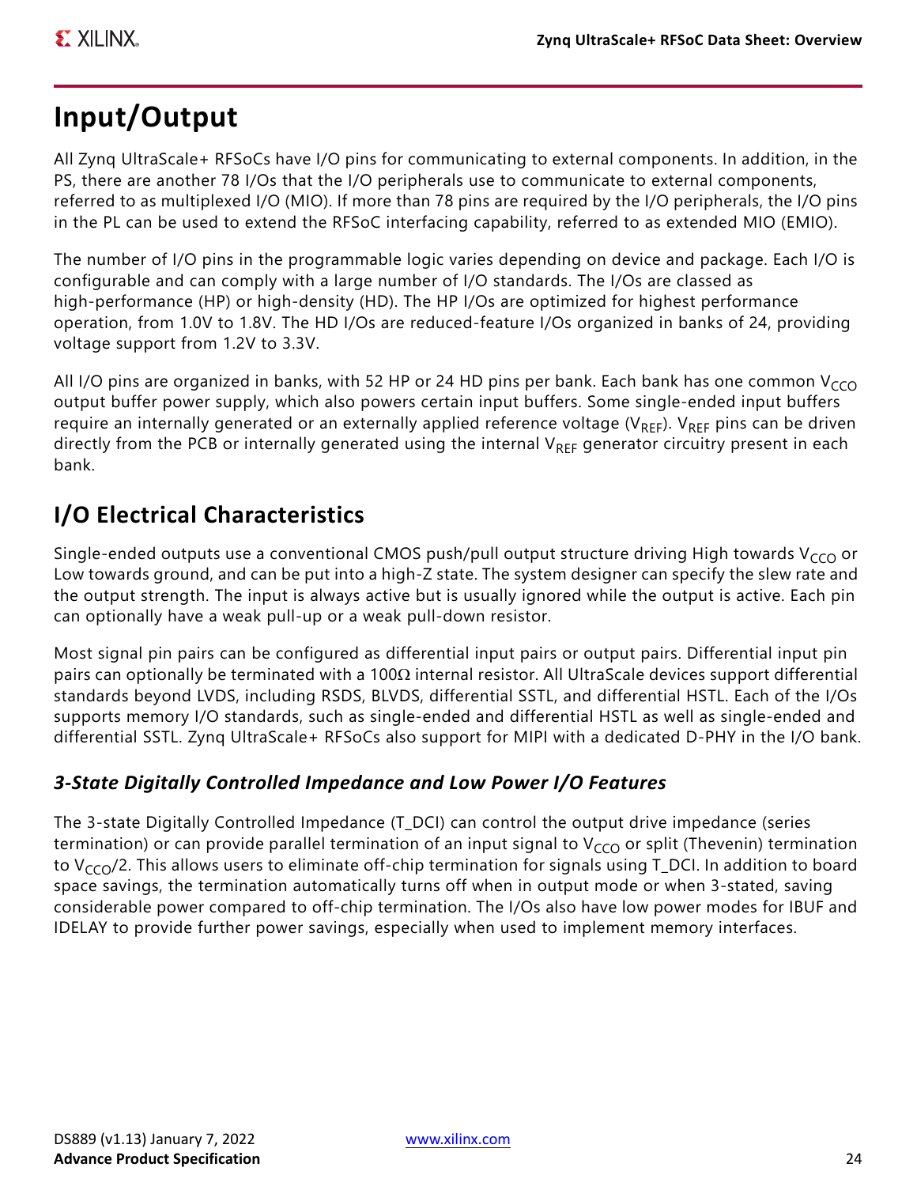# **Input/Output**

All Zynq UltraScale+ RFSoCs have I/O pins for communicating to external components. In addition, in the PS, there are another 78 I/Os that the I/O peripherals use to communicate to external components, referred to as multiplexed I/O (MIO). If more than 78 pins are required by the I/O peripherals, the I/O pins in the PL can be used to extend the RFSoC interfacing capability, referred to as extended MIO (EMIO).

The number of I/O pins in the programmable logic varies depending on device and package. Each I/O is configurable and can comply with a large number of I/O standards. The I/Os are classed as high-performance (HP) or high-density (HD). The HP I/Os are optimized for highest performance operation, from 1.0V to 1.8V. The HD I/Os are reduced-feature I/Os organized in banks of 24, providing voltage support from 1.2V to 3.3V.

All I/O pins are organized in banks, with 52 HP or 24 HD pins per bank. Each bank has one common V<sub>CCO</sub> output buffer power supply, which also powers certain input buffers. Some single-ended input buffers require an internally generated or an externally applied reference voltage ( $V_{RFF}$ ).  $V_{RFF}$  pins can be driven directly from the PCB or internally generated using the internal  $V_{RFF}$  generator circuitry present in each bank.

## **I/O Electrical Characteristics**

Single-ended outputs use a conventional CMOS push/pull output structure driving High towards  $V_{CCO}$  or Low towards ground, and can be put into a high-Z state. The system designer can specify the slew rate and the output strength. The input is always active but is usually ignored while the output is active. Each pin can optionally have a weak pull-up or a weak pull-down resistor.

Most signal pin pairs can be configured as differential input pairs or output pairs. Differential input pin pairs can optionally be terminated with a 100 $\Omega$  internal resistor. All UltraScale devices support differential standards beyond LVDS, including RSDS, BLVDS, differential SSTL, and differential HSTL. Each of the I/Os supports memory I/O standards, such as single-ended and differential HSTL as well as single-ended and differential SSTL. Zynq UltraScale+ RFSoCs also support for MIPI with a dedicated D-PHY in the I/O bank.

### *3-State Digitally Controlled Impedance and Low Power I/O Features*

The 3-state Digitally Controlled Impedance (T\_DCI) can control the output drive impedance (series termination) or can provide parallel termination of an input signal to  $V_{CCO}$  or split (Thevenin) termination to  $V_{CCO}/2$ . This allows users to eliminate off-chip termination for signals using T\_DCI. In addition to board space savings, the termination automatically turns off when in output mode or when 3-stated, saving considerable power compared to off-chip termination. The I/Os also have low power modes for IBUF and IDELAY to provide further power savings, especially when used to implement memory interfaces.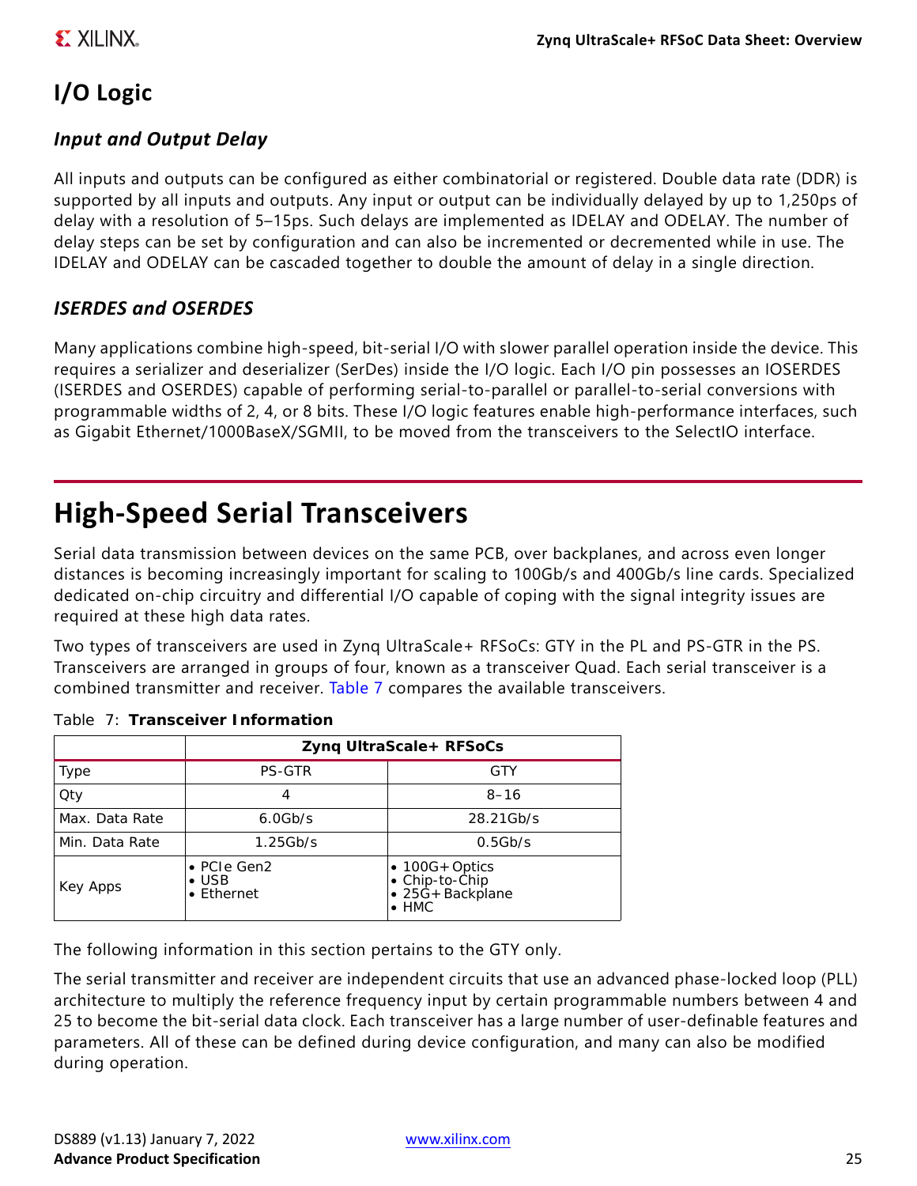## **I/O Logic**

### *Input and Output Delay*

All inputs and outputs can be configured as either combinatorial or registered. Double data rate (DDR) is supported by all inputs and outputs. Any input or output can be individually delayed by up to 1,250ps of delay with a resolution of 5–15ps. Such delays are implemented as IDELAY and ODELAY. The number of delay steps can be set by configuration and can also be incremented or decremented while in use. The IDELAY and ODELAY can be cascaded together to double the amount of delay in a single direction.

#### *ISERDES and OSERDES*

Many applications combine high-speed, bit-serial I/O with slower parallel operation inside the device. This requires a serializer and deserializer (SerDes) inside the I/O logic. Each I/O pin possesses an IOSERDES (ISERDES and OSERDES) capable of performing serial-to-parallel or parallel-to-serial conversions with programmable widths of 2, 4, or 8 bits. These I/O logic features enable high-performance interfaces, such as Gigabit Ethernet/1000BaseX/SGMII, to be moved from the transceivers to the SelectIO interface.

# **High-Speed Serial Transceivers**

Serial data transmission between devices on the same PCB, over backplanes, and across even longer distances is becoming increasingly important for scaling to 100Gb/s and 400Gb/s line cards. Specialized dedicated on-chip circuitry and differential I/O capable of coping with the signal integrity issues are required at these high data rates.

Two types of transceivers are used in Zynq UltraScale+ RFSoCs: GTY in the PL and PS-GTR in the PS. Transceivers are arranged in groups of four, known as a transceiver Quad. Each serial transceiver is a combined transmitter and receiver. [Table 7](#page-24-0) compares the available transceivers.

|                | Zynq UltraScale+ RFSoCs                                    |                                                                                |  |  |  |  |  |
|----------------|------------------------------------------------------------|--------------------------------------------------------------------------------|--|--|--|--|--|
| <b>Type</b>    | <b>PS-GTR</b>                                              | <b>GTY</b>                                                                     |  |  |  |  |  |
| Qty            | 4                                                          | $8 - 16$                                                                       |  |  |  |  |  |
| Max. Data Rate | $6.0$ Gb/s                                                 | 28.21Gb/s                                                                      |  |  |  |  |  |
| Min. Data Rate | 1.25Gb/s                                                   | $0.5$ Gb/s                                                                     |  |  |  |  |  |
| Key Apps       | $\bullet$ PCIe Gen2<br>$\bullet$ USB<br>$\bullet$ Ethernet | $\bullet$ 100G + Optics<br>• Chip-to-Chip<br>• 25G+ Backplane<br>$\bullet$ HMC |  |  |  |  |  |

<span id="page-24-0"></span>

|  |  | Table 7: Transceiver Information |
|--|--|----------------------------------|
|--|--|----------------------------------|

The following information in this section pertains to the GTY only.

The serial transmitter and receiver are independent circuits that use an advanced phase-locked loop (PLL) architecture to multiply the reference frequency input by certain programmable numbers between 4 and 25 to become the bit-serial data clock. Each transceiver has a large number of user-definable features and parameters. All of these can be defined during device configuration, and many can also be modified during operation.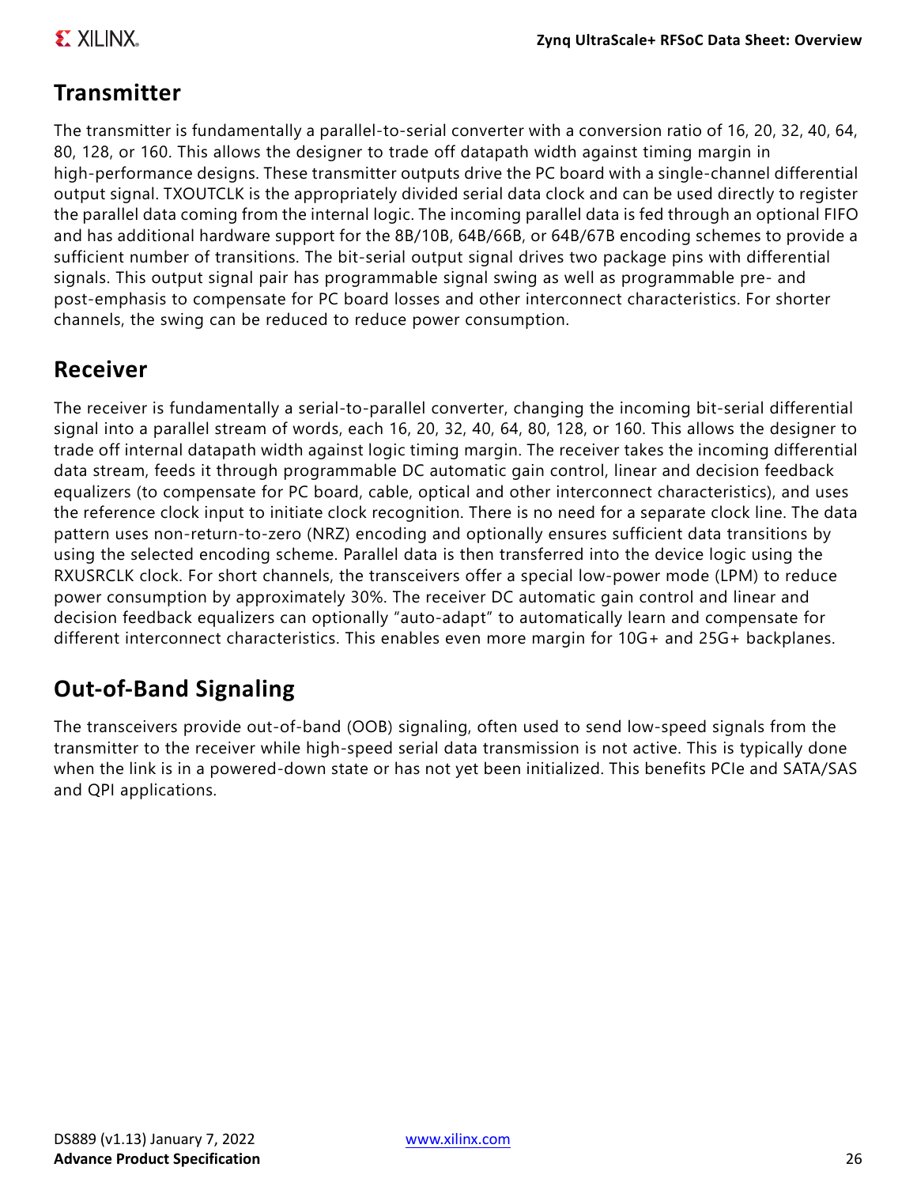**EXILINX** 

### **Transmitter**

The transmitter is fundamentally a parallel-to-serial converter with a conversion ratio of 16, 20, 32, 40, 64, 80, 128, or 160. This allows the designer to trade off datapath width against timing margin in high-performance designs. These transmitter outputs drive the PC board with a single-channel differential output signal. TXOUTCLK is the appropriately divided serial data clock and can be used directly to register the parallel data coming from the internal logic. The incoming parallel data is fed through an optional FIFO and has additional hardware support for the 8B/10B, 64B/66B, or 64B/67B encoding schemes to provide a sufficient number of transitions. The bit-serial output signal drives two package pins with differential signals. This output signal pair has programmable signal swing as well as programmable pre- and post-emphasis to compensate for PC board losses and other interconnect characteristics. For shorter channels, the swing can be reduced to reduce power consumption.

### **Receiver**

The receiver is fundamentally a serial-to-parallel converter, changing the incoming bit-serial differential signal into a parallel stream of words, each 16, 20, 32, 40, 64, 80, 128, or 160. This allows the designer to trade off internal datapath width against logic timing margin. The receiver takes the incoming differential data stream, feeds it through programmable DC automatic gain control, linear and decision feedback equalizers (to compensate for PC board, cable, optical and other interconnect characteristics), and uses the reference clock input to initiate clock recognition. There is no need for a separate clock line. The data pattern uses non-return-to-zero (NRZ) encoding and optionally ensures sufficient data transitions by using the selected encoding scheme. Parallel data is then transferred into the device logic using the RXUSRCLK clock. For short channels, the transceivers offer a special low-power mode (LPM) to reduce power consumption by approximately 30%. The receiver DC automatic gain control and linear and decision feedback equalizers can optionally "auto-adapt" to automatically learn and compensate for different interconnect characteristics. This enables even more margin for 10G+ and 25G+ backplanes.

## **Out-of-Band Signaling**

The transceivers provide out-of-band (OOB) signaling, often used to send low-speed signals from the transmitter to the receiver while high-speed serial data transmission is not active. This is typically done when the link is in a powered-down state or has not yet been initialized. This benefits PCIe and SATA/SAS and QPI applications.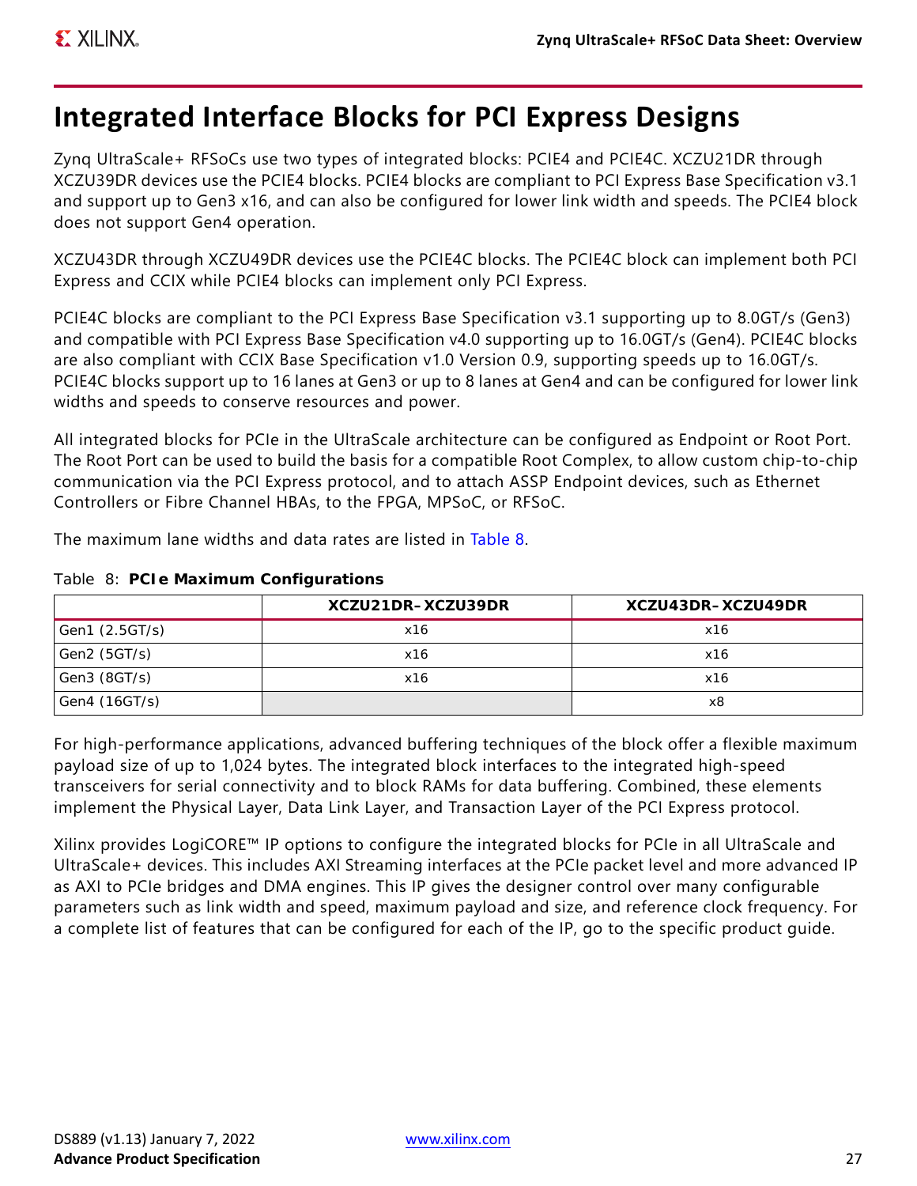# <span id="page-26-1"></span>**Integrated Interface Blocks for PCI Express Designs**

Zynq UltraScale+ RFSoCs use two types of integrated blocks: PCIE4 and PCIE4C. XCZU21DR through XCZU39DR devices use the PCIE4 blocks. PCIE4 blocks are compliant to PCI Express Base Specification v3.1 and support up to Gen3 x16, and can also be configured for lower link width and speeds. The PCIE4 block does not support Gen4 operation.

XCZU43DR through XCZU49DR devices use the PCIE4C blocks. The PCIE4C block can implement both PCI Express and CCIX while PCIE4 blocks can implement only PCI Express.

PCIE4C blocks are compliant to the PCI Express Base Specification v3.1 supporting up to 8.0GT/s (Gen3) and compatible with PCI Express Base Specification v4.0 supporting up to 16.0GT/s (Gen4). PCIE4C blocks are also compliant with CCIX Base Specification v1.0 Version 0.9, supporting speeds up to 16.0GT/s. PCIE4C blocks support up to 16 lanes at Gen3 or up to 8 lanes at Gen4 and can be configured for lower link widths and speeds to conserve resources and power.

All integrated blocks for PCIe in the UltraScale architecture can be configured as Endpoint or Root Port. The Root Port can be used to build the basis for a compatible Root Complex, to allow custom chip-to-chip communication via the PCI Express protocol, and to attach ASSP Endpoint devices, such as Ethernet Controllers or Fibre Channel HBAs, to the FPGA, MPSoC, or RFSoC.

The maximum lane widths and data rates are listed in [Table 8](#page-26-0).

|                | XCZU21DR-XCZU39DR | XCZU43DR-XCZU49DR |
|----------------|-------------------|-------------------|
| Gen1 (2.5GT/s) | x16               | x16               |
| Gen2 (5GT/s)   | x16               | x16               |
| Gen3 (8GT/s)   | x16               | x16               |
| Gen4 (16GT/s)  |                   | х8                |

#### <span id="page-26-0"></span>*Table 8:* **PCIe Maximum Configurations**

For high-performance applications, advanced buffering techniques of the block offer a flexible maximum payload size of up to 1,024 bytes. The integrated block interfaces to the integrated high-speed transceivers for serial connectivity and to block RAMs for data buffering. Combined, these elements implement the Physical Layer, Data Link Layer, and Transaction Layer of the PCI Express protocol.

Xilinx provides LogiCORE™ IP options to configure the integrated blocks for PCIe in all UltraScale and UltraScale+ devices. This includes AXI Streaming interfaces at the PCIe packet level and more advanced IP as AXI to PCIe bridges and DMA engines. This IP gives the designer control over many configurable parameters such as link width and speed, maximum payload and size, and reference clock frequency. For a complete list of features that can be configured for each of the IP, go to the specific product guide.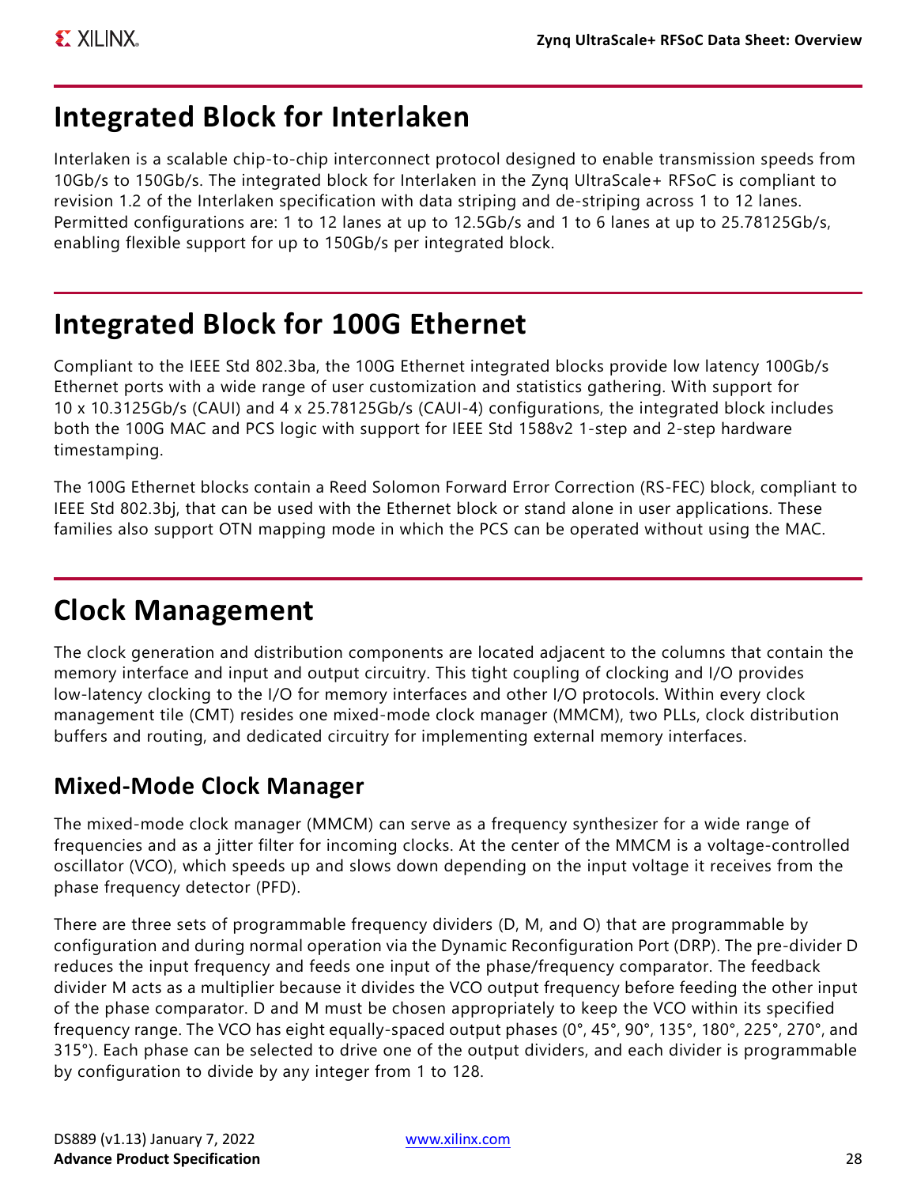## **Integrated Block for Interlaken**

Interlaken is a scalable chip-to-chip interconnect protocol designed to enable transmission speeds from 10Gb/s to 150Gb/s. The integrated block for Interlaken in the Zynq UltraScale+ RFSoC is compliant to revision 1.2 of the Interlaken specification with data striping and de-striping across 1 to 12 lanes. Permitted configurations are: 1 to 12 lanes at up to 12.5Gb/s and 1 to 6 lanes at up to 25.78125Gb/s, enabling flexible support for up to 150Gb/s per integrated block.

# **Integrated Block for 100G Ethernet**

Compliant to the IEEE Std 802.3ba, the 100G Ethernet integrated blocks provide low latency 100Gb/s Ethernet ports with a wide range of user customization and statistics gathering. With support for 10 x 10.3125Gb/s (CAUI) and 4 x 25.78125Gb/s (CAUI-4) configurations, the integrated block includes both the 100G MAC and PCS logic with support for IEEE Std 1588v2 1-step and 2-step hardware timestamping.

The 100G Ethernet blocks contain a Reed Solomon Forward Error Correction (RS-FEC) block, compliant to IEEE Std 802.3bj, that can be used with the Ethernet block or stand alone in user applications. These families also support OTN mapping mode in which the PCS can be operated without using the MAC.

# **Clock Management**

The clock generation and distribution components are located adjacent to the columns that contain the memory interface and input and output circuitry. This tight coupling of clocking and I/O provides low-latency clocking to the I/O for memory interfaces and other I/O protocols. Within every clock management tile (CMT) resides one mixed-mode clock manager (MMCM), two PLLs, clock distribution buffers and routing, and dedicated circuitry for implementing external memory interfaces.

## **Mixed-Mode Clock Manager**

The mixed-mode clock manager (MMCM) can serve as a frequency synthesizer for a wide range of frequencies and as a jitter filter for incoming clocks. At the center of the MMCM is a voltage-controlled oscillator (VCO), which speeds up and slows down depending on the input voltage it receives from the phase frequency detector (PFD).

There are three sets of programmable frequency dividers (D, M, and O) that are programmable by configuration and during normal operation via the Dynamic Reconfiguration Port (DRP). The pre-divider D reduces the input frequency and feeds one input of the phase/frequency comparator. The feedback divider M acts as a multiplier because it divides the VCO output frequency before feeding the other input of the phase comparator. D and M must be chosen appropriately to keep the VCO within its specified frequency range. The VCO has eight equally-spaced output phases (0°, 45°, 90°, 135°, 180°, 225°, 270°, and 315°). Each phase can be selected to drive one of the output dividers, and each divider is programmable by configuration to divide by any integer from 1 to 128.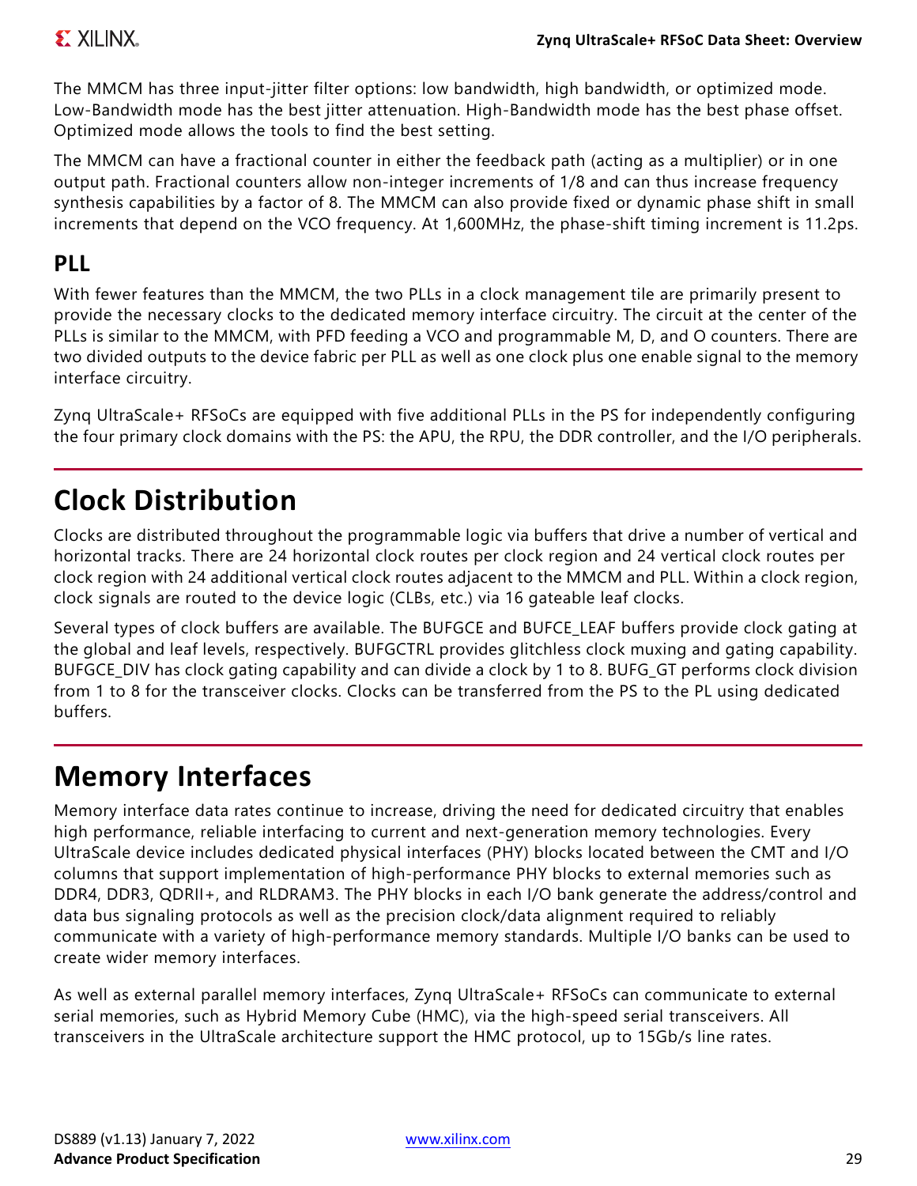The MMCM has three input-jitter filter options: low bandwidth, high bandwidth, or optimized mode. Low-Bandwidth mode has the best jitter attenuation. High-Bandwidth mode has the best phase offset. Optimized mode allows the tools to find the best setting.

The MMCM can have a fractional counter in either the feedback path (acting as a multiplier) or in one output path. Fractional counters allow non-integer increments of 1/8 and can thus increase frequency synthesis capabilities by a factor of 8. The MMCM can also provide fixed or dynamic phase shift in small increments that depend on the VCO frequency. At 1,600MHz, the phase-shift timing increment is 11.2ps.

### **PLL**

With fewer features than the MMCM, the two PLLs in a clock management tile are primarily present to provide the necessary clocks to the dedicated memory interface circuitry. The circuit at the center of the PLLs is similar to the MMCM, with PFD feeding a VCO and programmable M, D, and O counters. There are two divided outputs to the device fabric per PLL as well as one clock plus one enable signal to the memory interface circuitry.

Zynq UltraScale+ RFSoCs are equipped with five additional PLLs in the PS for independently configuring the four primary clock domains with the PS: the APU, the RPU, the DDR controller, and the I/O peripherals.

# **Clock Distribution**

Clocks are distributed throughout the programmable logic via buffers that drive a number of vertical and horizontal tracks. There are 24 horizontal clock routes per clock region and 24 vertical clock routes per clock region with 24 additional vertical clock routes adjacent to the MMCM and PLL. Within a clock region, clock signals are routed to the device logic (CLBs, etc.) via 16 gateable leaf clocks.

Several types of clock buffers are available. The BUFGCE and BUFCE LEAF buffers provide clock gating at the global and leaf levels, respectively. BUFGCTRL provides glitchless clock muxing and gating capability. BUFGCE DIV has clock gating capability and can divide a clock by 1 to 8. BUFG GT performs clock division from 1 to 8 for the transceiver clocks. Clocks can be transferred from the PS to the PL using dedicated buffers.

# **Memory Interfaces**

Memory interface data rates continue to increase, driving the need for dedicated circuitry that enables high performance, reliable interfacing to current and next-generation memory technologies. Every UltraScale device includes dedicated physical interfaces (PHY) blocks located between the CMT and I/O columns that support implementation of high-performance PHY blocks to external memories such as DDR4, DDR3, QDRII+, and RLDRAM3. The PHY blocks in each I/O bank generate the address/control and data bus signaling protocols as well as the precision clock/data alignment required to reliably communicate with a variety of high-performance memory standards. Multiple I/O banks can be used to create wider memory interfaces.

As well as external parallel memory interfaces, Zynq UltraScale+ RFSoCs can communicate to external serial memories, such as Hybrid Memory Cube (HMC), via the high-speed serial transceivers. All transceivers in the UltraScale architecture support the HMC protocol, up to 15Gb/s line rates.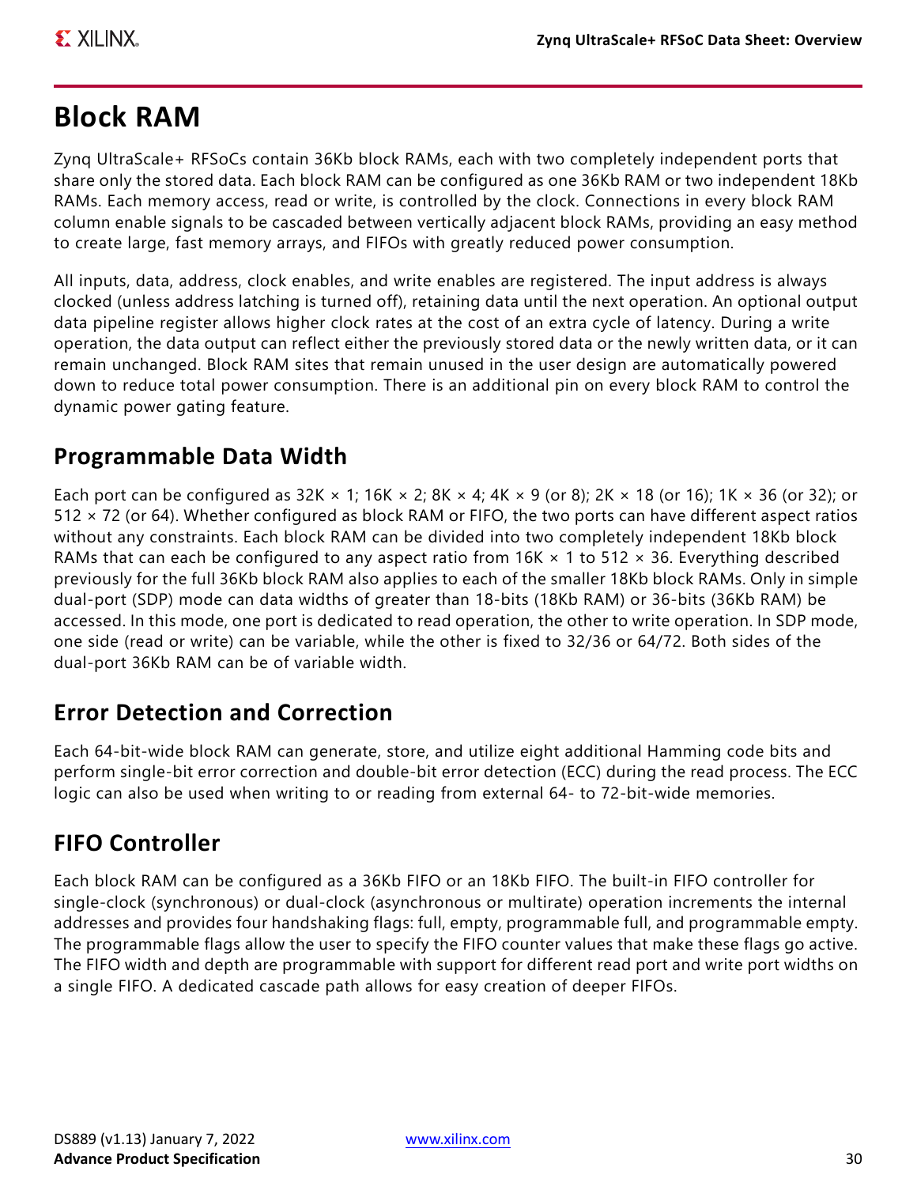# **Block RAM**

Zynq UltraScale+ RFSoCs contain 36Kb block RAMs, each with two completely independent ports that share only the stored data. Each block RAM can be configured as one 36Kb RAM or two independent 18Kb RAMs. Each memory access, read or write, is controlled by the clock. Connections in every block RAM column enable signals to be cascaded between vertically adjacent block RAMs, providing an easy method to create large, fast memory arrays, and FIFOs with greatly reduced power consumption.

All inputs, data, address, clock enables, and write enables are registered. The input address is always clocked (unless address latching is turned off), retaining data until the next operation. An optional output data pipeline register allows higher clock rates at the cost of an extra cycle of latency. During a write operation, the data output can reflect either the previously stored data or the newly written data, or it can remain unchanged. Block RAM sites that remain unused in the user design are automatically powered down to reduce total power consumption. There is an additional pin on every block RAM to control the dynamic power gating feature.

### **Programmable Data Width**

Each port can be configured as  $32K \times 1$ ; 16K  $\times 2$ ; 8K  $\times 4$ ; 4K  $\times 9$  (or 8); 2K  $\times 18$  (or 16); 1K  $\times 36$  (or 32); or 512 × 72 (or 64). Whether configured as block RAM or FIFO, the two ports can have different aspect ratios without any constraints. Each block RAM can be divided into two completely independent 18Kb block RAMs that can each be configured to any aspect ratio from  $16K \times 1$  to  $512 \times 36$ . Everything described previously for the full 36Kb block RAM also applies to each of the smaller 18Kb block RAMs. Only in simple dual-port (SDP) mode can data widths of greater than 18-bits (18Kb RAM) or 36-bits (36Kb RAM) be accessed. In this mode, one port is dedicated to read operation, the other to write operation. In SDP mode, one side (read or write) can be variable, while the other is fixed to 32/36 or 64/72. Both sides of the dual-port 36Kb RAM can be of variable width.

### **Error Detection and Correction**

Each 64-bit-wide block RAM can generate, store, and utilize eight additional Hamming code bits and perform single-bit error correction and double-bit error detection (ECC) during the read process. The ECC logic can also be used when writing to or reading from external 64- to 72-bit-wide memories.

### **FIFO Controller**

Each block RAM can be configured as a 36Kb FIFO or an 18Kb FIFO. The built-in FIFO controller for single-clock (synchronous) or dual-clock (asynchronous or multirate) operation increments the internal addresses and provides four handshaking flags: full, empty, programmable full, and programmable empty. The programmable flags allow the user to specify the FIFO counter values that make these flags go active. The FIFO width and depth are programmable with support for different read port and write port widths on a single FIFO. A dedicated cascade path allows for easy creation of deeper FIFOs.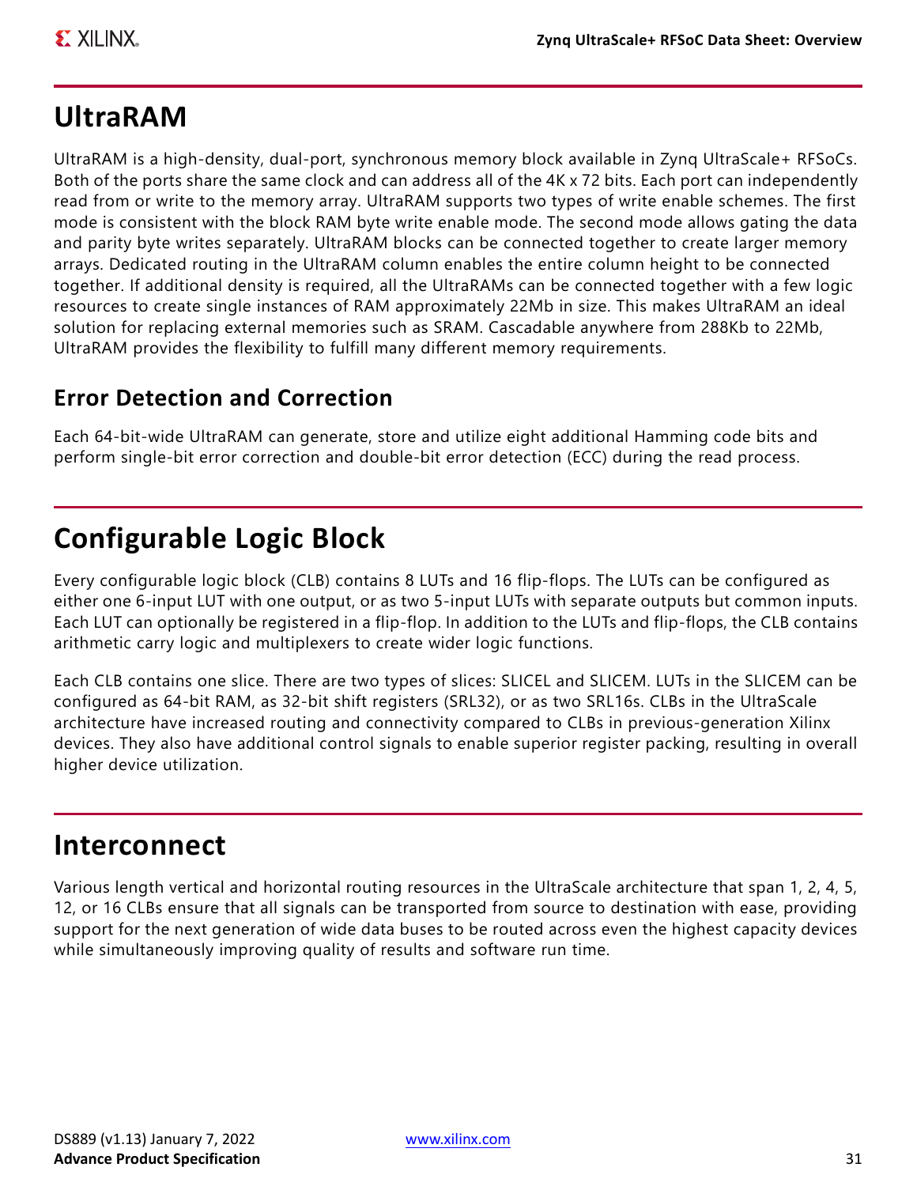# **UltraRAM**

UltraRAM is a high-density, dual-port, synchronous memory block available in Zynq UltraScale+ RFSoCs. Both of the ports share the same clock and can address all of the 4K x 72 bits. Each port can independently read from or write to the memory array. UltraRAM supports two types of write enable schemes. The first mode is consistent with the block RAM byte write enable mode. The second mode allows gating the data and parity byte writes separately. UltraRAM blocks can be connected together to create larger memory arrays. Dedicated routing in the UltraRAM column enables the entire column height to be connected together. If additional density is required, all the UltraRAMs can be connected together with a few logic resources to create single instances of RAM approximately 22Mb in size. This makes UltraRAM an ideal solution for replacing external memories such as SRAM. Cascadable anywhere from 288Kb to 22Mb, UltraRAM provides the flexibility to fulfill many different memory requirements.

### **Error Detection and Correction**

Each 64-bit-wide UltraRAM can generate, store and utilize eight additional Hamming code bits and perform single-bit error correction and double-bit error detection (ECC) during the read process.

# **Configurable Logic Block**

Every configurable logic block (CLB) contains 8 LUTs and 16 flip-flops. The LUTs can be configured as either one 6-input LUT with one output, or as two 5-input LUTs with separate outputs but common inputs. Each LUT can optionally be registered in a flip-flop. In addition to the LUTs and flip-flops, the CLB contains arithmetic carry logic and multiplexers to create wider logic functions.

Each CLB contains one slice. There are two types of slices: SLICEL and SLICEM. LUTs in the SLICEM can be configured as 64-bit RAM, as 32-bit shift registers (SRL32), or as two SRL16s. CLBs in the UltraScale architecture have increased routing and connectivity compared to CLBs in previous-generation Xilinx devices. They also have additional control signals to enable superior register packing, resulting in overall higher device utilization.

## **Interconnect**

Various length vertical and horizontal routing resources in the UltraScale architecture that span 1, 2, 4, 5, 12, or 16 CLBs ensure that all signals can be transported from source to destination with ease, providing support for the next generation of wide data buses to be routed across even the highest capacity devices while simultaneously improving quality of results and software run time.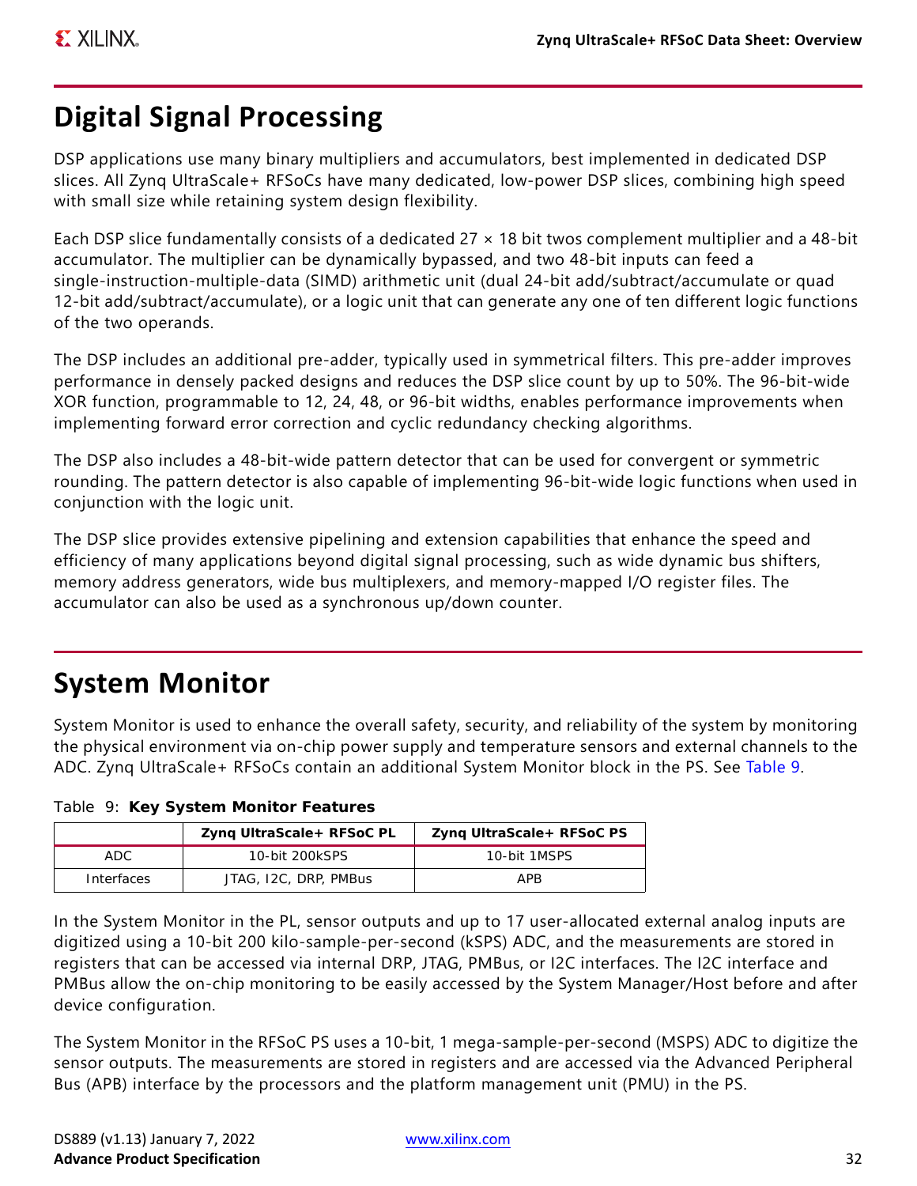# **Digital Signal Processing**

DSP applications use many binary multipliers and accumulators, best implemented in dedicated DSP slices. All Zynq UltraScale+ RFSoCs have many dedicated, low-power DSP slices, combining high speed with small size while retaining system design flexibility.

Each DSP slice fundamentally consists of a dedicated  $27 \times 18$  bit twos complement multiplier and a 48-bit accumulator. The multiplier can be dynamically bypassed, and two 48-bit inputs can feed a single-instruction-multiple-data (SIMD) arithmetic unit (dual 24-bit add/subtract/accumulate or quad 12-bit add/subtract/accumulate), or a logic unit that can generate any one of ten different logic functions of the two operands.

The DSP includes an additional pre-adder, typically used in symmetrical filters. This pre-adder improves performance in densely packed designs and reduces the DSP slice count by up to 50%. The 96-bit-wide XOR function, programmable to 12, 24, 48, or 96-bit widths, enables performance improvements when implementing forward error correction and cyclic redundancy checking algorithms.

The DSP also includes a 48-bit-wide pattern detector that can be used for convergent or symmetric rounding. The pattern detector is also capable of implementing 96-bit-wide logic functions when used in conjunction with the logic unit.

The DSP slice provides extensive pipelining and extension capabilities that enhance the speed and efficiency of many applications beyond digital signal processing, such as wide dynamic bus shifters, memory address generators, wide bus multiplexers, and memory-mapped I/O register files. The accumulator can also be used as a synchronous up/down counter.

# **System Monitor**

System Monitor is used to enhance the overall safety, security, and reliability of the system by monitoring the physical environment via on-chip power supply and temperature sensors and external channels to the ADC. Zynq UltraScale+ RFSoCs contain an additional System Monitor block in the PS. See [Table 9.](#page-31-0)

|            | Zyng UltraScale+ RFSoC PL | Zyng UltraScale+ RFSoC PS |
|------------|---------------------------|---------------------------|
| ADC.       | 10-bit 200kSPS            | 10-bit 1MSPS              |
| Interfaces | JTAG, I2C, DRP, PMBus     | APR.                      |

<span id="page-31-0"></span>

|  |  | Table 9: Key System Monitor Features |  |  |
|--|--|--------------------------------------|--|--|
|--|--|--------------------------------------|--|--|

In the System Monitor in the PL, sensor outputs and up to 17 user-allocated external analog inputs are digitized using a 10-bit 200 kilo-sample-per-second (kSPS) ADC, and the measurements are stored in registers that can be accessed via internal DRP, JTAG, PMBus, or I2C interfaces. The I2C interface and PMBus allow the on-chip monitoring to be easily accessed by the System Manager/Host before and after device configuration.

The System Monitor in the RFSoC PS uses a 10-bit, 1 mega-sample-per-second (MSPS) ADC to digitize the sensor outputs. The measurements are stored in registers and are accessed via the Advanced Peripheral Bus (APB) interface by the processors and the platform management unit (PMU) in the PS.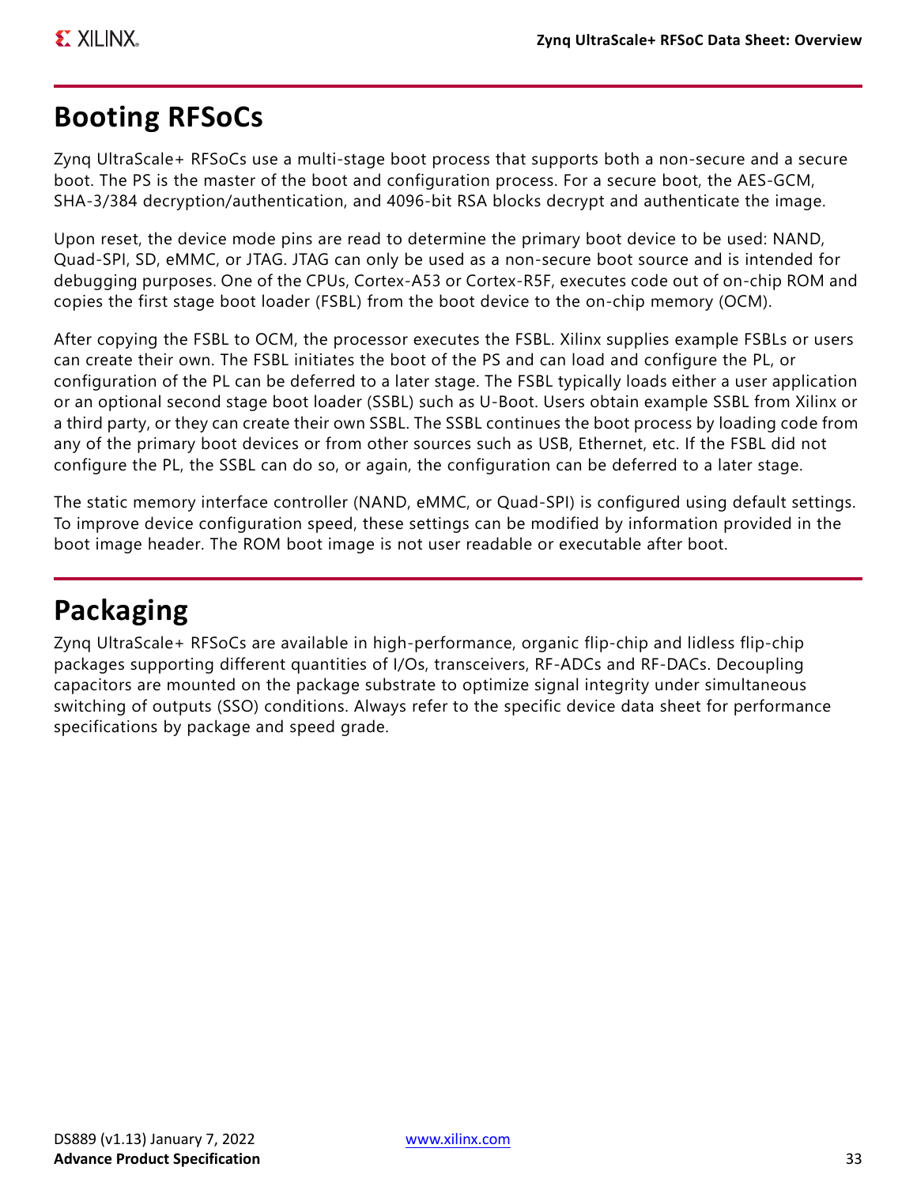# **Booting RFSoCs**

Zynq UltraScale+ RFSoCs use a multi-stage boot process that supports both a non-secure and a secure boot. The PS is the master of the boot and configuration process. For a secure boot, the AES-GCM, SHA-3/384 decryption/authentication, and 4096-bit RSA blocks decrypt and authenticate the image.

Upon reset, the device mode pins are read to determine the primary boot device to be used: NAND, Quad-SPI, SD, eMMC, or JTAG. JTAG can only be used as a non-secure boot source and is intended for debugging purposes. One of the CPUs, Cortex-A53 or Cortex-R5F, executes code out of on-chip ROM and copies the first stage boot loader (FSBL) from the boot device to the on-chip memory (OCM).

After copying the FSBL to OCM, the processor executes the FSBL. Xilinx supplies example FSBLs or users can create their own. The FSBL initiates the boot of the PS and can load and configure the PL, or configuration of the PL can be deferred to a later stage. The FSBL typically loads either a user application or an optional second stage boot loader (SSBL) such as U-Boot. Users obtain example SSBL from Xilinx or a third party, or they can create their own SSBL. The SSBL continues the boot process by loading code from any of the primary boot devices or from other sources such as USB, Ethernet, etc. If the FSBL did not configure the PL, the SSBL can do so, or again, the configuration can be deferred to a later stage.

The static memory interface controller (NAND, eMMC, or Quad-SPI) is configured using default settings. To improve device configuration speed, these settings can be modified by information provided in the boot image header. The ROM boot image is not user readable or executable after boot.

# <span id="page-32-0"></span>**Packaging**

Zynq UltraScale+ RFSoCs are available in high-performance, organic flip-chip and lidless flip-chip packages supporting different quantities of I/Os, transceivers, RF-ADCs and RF-DACs. Decoupling capacitors are mounted on the package substrate to optimize signal integrity under simultaneous switching of outputs (SSO) conditions. Always refer to the specific device data sheet for performance specifications by package and speed grade.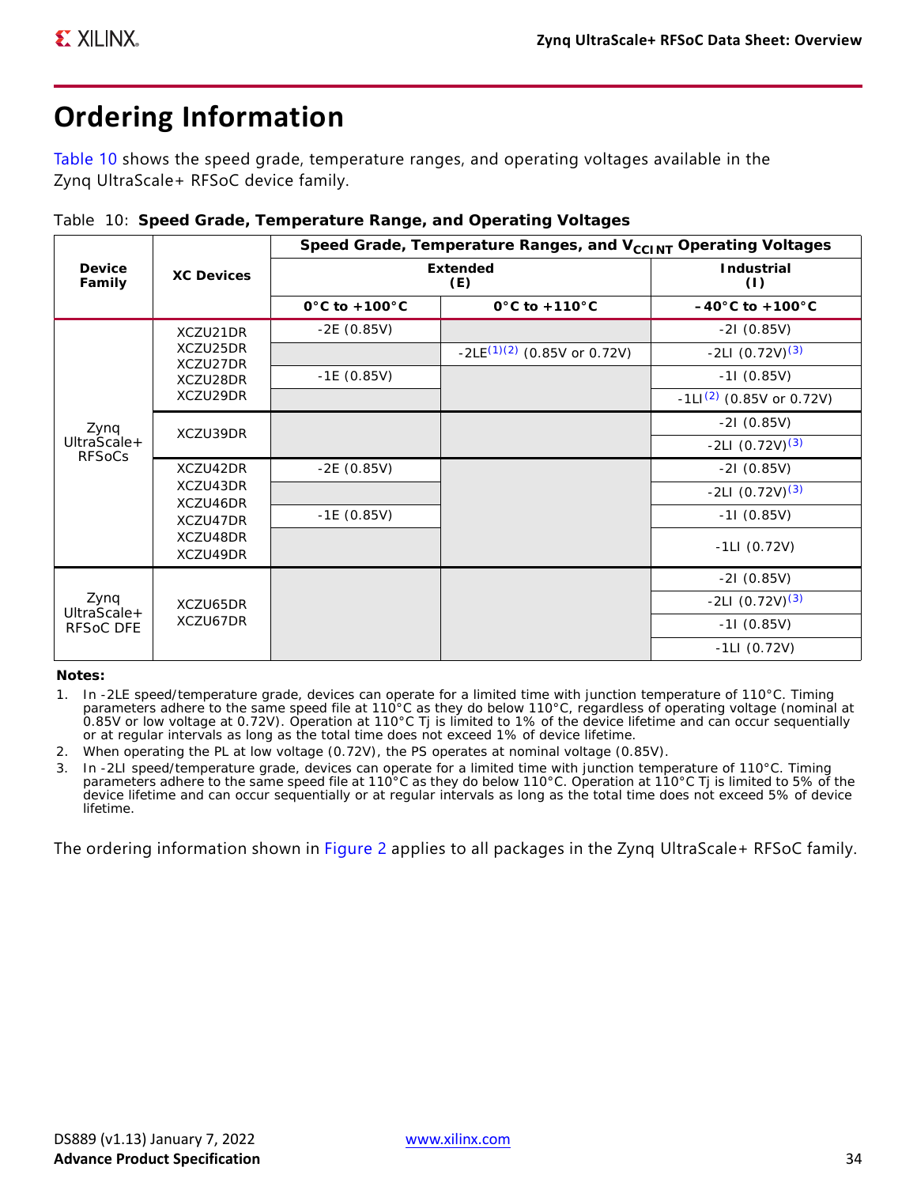# **Ordering Information**

[Table 10](#page-33-0) shows the speed grade, temperature ranges, and operating voltages available in the Zynq UltraScale+ RFSoC device family.

|                                          | <b>XC Devices</b>                | Speed Grade, Temperature Ranges, and V <sub>CCINT</sub> Operating Voltages |                                    |                                     |  |
|------------------------------------------|----------------------------------|----------------------------------------------------------------------------|------------------------------------|-------------------------------------|--|
| Device<br>Family                         |                                  | Extended<br>(E)                                                            |                                    | Industrial<br>(1)                   |  |
|                                          |                                  | $0^{\circ}$ C to +100 $^{\circ}$ C                                         | $0^{\circ}$ C to +110 $^{\circ}$ C | $-40^{\circ}$ C to $+100^{\circ}$ C |  |
| Zynq<br>$U$ ItraScale +<br><b>RFSoCs</b> | XCZU21DR<br>XCZU25DR<br>XCZU27DR | $-2E(0.85V)$                                                               |                                    | $-21(0.85V)$                        |  |
|                                          |                                  |                                                                            | $-2LE^{(1)(2)}$ (0.85V or 0.72V)   | $-2LI$ (0.72V) <sup>(3)</sup>       |  |
|                                          | XCZU28DR                         | $-1E(0.85V)$                                                               |                                    | $-11(0.85V)$                        |  |
|                                          | XCZU29DR                         |                                                                            |                                    | $-1LI(2)$ (0.85V or 0.72V)          |  |
|                                          | XCZU39DR                         |                                                                            |                                    | $-21(0.85V)$                        |  |
|                                          |                                  |                                                                            |                                    | $-2LI(0.72V)^{(3)}$                 |  |
|                                          | XCZU42DR                         | $-2E(0.85V)$                                                               |                                    | $-21(0.85V)$                        |  |
|                                          | XCZU43DR<br>XCZU46DR             |                                                                            |                                    | $-2LI(0.72V)^{(3)}$                 |  |
|                                          | XCZU47DR                         | $-1E(0.85V)$                                                               |                                    | $-11(0.85V)$                        |  |
|                                          | XCZU48DR<br>XCZU49DR             |                                                                            |                                    | $-1LI(0.72V)$                       |  |
| Zynq<br>UltraScale+<br>RFSoC DFE         | XCZU65DR<br>XCZU67DR             |                                                                            |                                    | $-21(0.85V)$                        |  |
|                                          |                                  |                                                                            |                                    | $-2LI(0.72V)^{(3)}$                 |  |
|                                          |                                  |                                                                            |                                    | $-11(0.85V)$                        |  |
|                                          |                                  |                                                                            |                                    | $-1LI(0.72V)$                       |  |

<span id="page-33-0"></span>

|  | Table 10: Speed Grade, Temperature Range, and Operating Voltages |  |  |
|--|------------------------------------------------------------------|--|--|
|  |                                                                  |  |  |

#### **Notes:**

- <span id="page-33-1"></span>1. In -2LE speed/temperature grade, devices can operate for a limited time with junction temperature of 110°C. Timing parameters adhere to the same speed file at 110°C as they do below 110°C, regardless of operating voltage (nominal at 0.85V or low voltage at 0.72V). Operation at 110°C Tj is limited to 1% of the device lifetime and can occur sequentially or at regular intervals as long as the total time does not exceed 1% of device lifetime.
- <span id="page-33-2"></span>2. When operating the PL at low voltage (0.72V), the PS operates at nominal voltage (0.85V).
- <span id="page-33-3"></span>3. In -2LI speed/temperature grade, devices can operate for a limited time with junction temperature of 110°C. Timing parameters adhere to the same speed file at 110°C as they do below 110°C. Operation at 110°C Tj is limited to 5% of the device lifetime and can occur sequentially or at regular intervals as long as the total time does not exceed 5% of device lifetime.

The ordering information shown in [Figure 2](#page-34-0) applies to all packages in the Zynq UltraScale+ RFSoC family.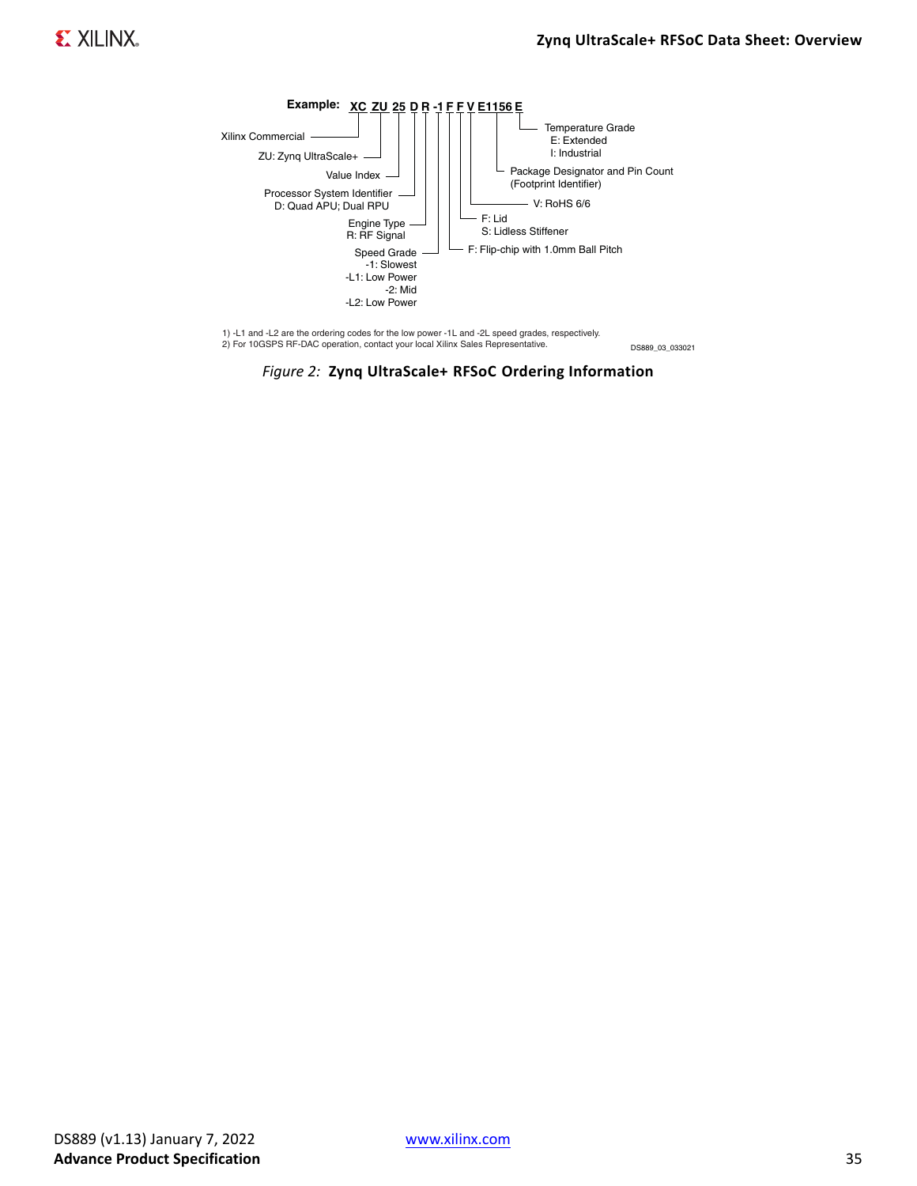<span id="page-34-0"></span>

1) -L1 and -L2 are the ordering codes for the low power -1L and -2L speed grades, respectively. 2) For 10GSPS RF-DAC operation, contact your local Xilinx Sales Representative.



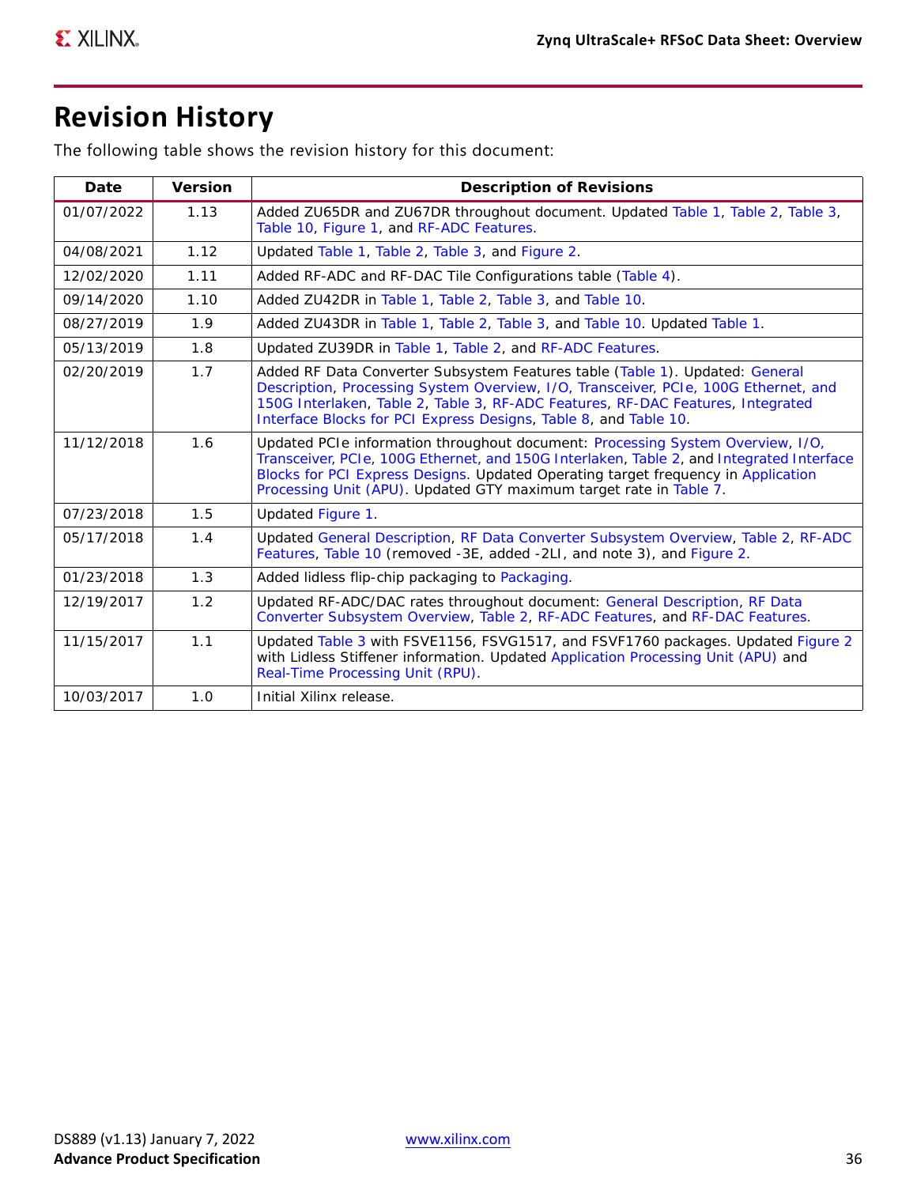# **Revision History**

The following table shows the revision history for this document:

| Date       | Version | <b>Description of Revisions</b>                                                                                                                                                                                                                                                                                                       |
|------------|---------|---------------------------------------------------------------------------------------------------------------------------------------------------------------------------------------------------------------------------------------------------------------------------------------------------------------------------------------|
| 01/07/2022 | 1.13    | Added ZU65DR and ZU67DR throughout document. Updated Table 1, Table 2, Table 3,<br>Table 10, Figure 1, and RF-ADC Features.                                                                                                                                                                                                           |
| 04/08/2021 | 1.12    | Updated Table 1, Table 2, Table 3, and Figure 2.                                                                                                                                                                                                                                                                                      |
| 12/02/2020 | 1.11    | Added RF-ADC and RF-DAC Tile Configurations table (Table 4).                                                                                                                                                                                                                                                                          |
| 09/14/2020 | 1.10    | Added ZU42DR in Table 1, Table 2, Table 3, and Table 10.                                                                                                                                                                                                                                                                              |
| 08/27/2019 | 1.9     | Added ZU43DR in Table 1, Table 2, Table 3, and Table 10. Updated Table 1.                                                                                                                                                                                                                                                             |
| 05/13/2019 | 1.8     | Updated ZU39DR in Table 1, Table 2, and RF-ADC Features.                                                                                                                                                                                                                                                                              |
| 02/20/2019 | 1.7     | Added RF Data Converter Subsystem Features table (Table 1). Updated: General<br>Description, Processing System Overview, I/O, Transceiver, PCIe, 100G Ethernet, and<br>150G Interlaken, Table 2, Table 3, RF-ADC Features, RF-DAC Features, Integrated<br>Interface Blocks for PCI Express Designs, Table 8, and Table 10.            |
| 11/12/2018 | 1.6     | Updated PCIe information throughout document: Processing System Overview, I/O,<br>Transceiver, PCIe, 100G Ethernet, and 150G Interlaken, Table 2, and Integrated Interface<br>Blocks for PCI Express Designs. Updated Operating target frequency in Application<br>Processing Unit (APU). Updated GTY maximum target rate in Table 7. |
| 07/23/2018 | 1.5     | Updated Figure 1.                                                                                                                                                                                                                                                                                                                     |
| 05/17/2018 | 1.4     | Updated General Description, RF Data Converter Subsystem Overview, Table 2, RF-ADC<br>Features, Table 10 (removed -3E, added -2LI, and note 3), and Figure 2.                                                                                                                                                                         |
| 01/23/2018 | 1.3     | Added lidless flip-chip packaging to Packaging.                                                                                                                                                                                                                                                                                       |
| 12/19/2017 | 1.2     | Updated RF-ADC/DAC rates throughout document: General Description, RF Data<br>Converter Subsystem Overview, Table 2, RF-ADC Features, and RF-DAC Features.                                                                                                                                                                            |
| 11/15/2017 | 1.1     | Updated Table 3 with FSVE1156, FSVG1517, and FSVF1760 packages. Updated Figure 2<br>with Lidless Stiffener information. Updated Application Processing Unit (APU) and<br>Real-Time Processing Unit (RPU).                                                                                                                             |
| 10/03/2017 | 1.0     | Initial Xilinx release.                                                                                                                                                                                                                                                                                                               |